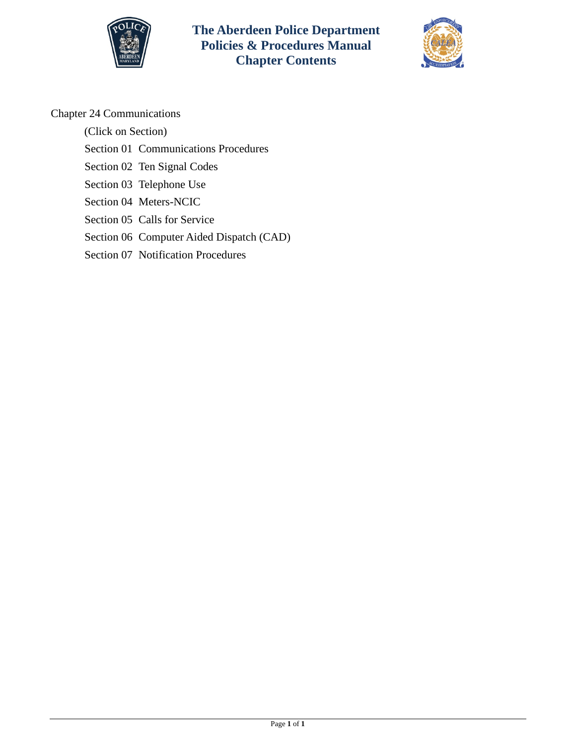



## Chapter 24 Communications

(Click on Section)

[Section 01 Communications Procedures](#page-1-0)

[Section 02 Ten Signal Codes](#page-10-0)

[Section 03 Telephone Use](#page-12-0)

[Section 04 Meters-NCIC](#page-16-0)

[Section 05 Calls for Service](#page-23-0)

[Section 06 Computer Aided Dispatch \(CAD\)](#page-35-0)

[Section 07 Notification Procedures](#page-40-0)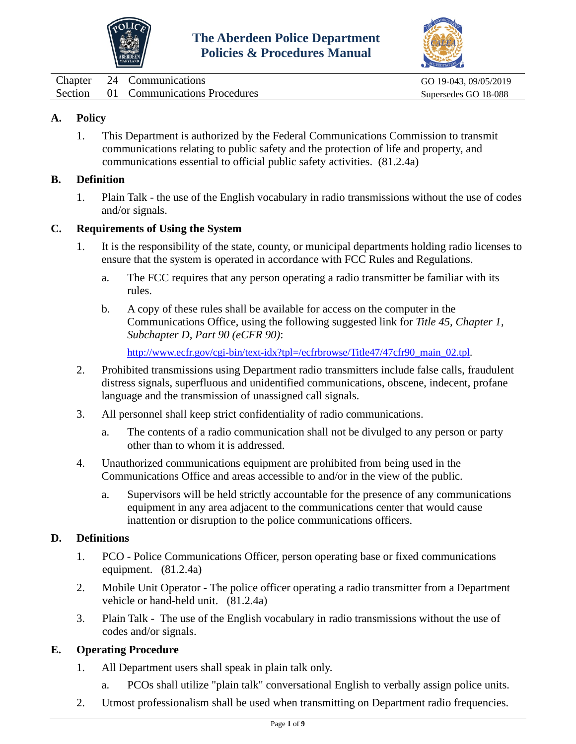



<span id="page-1-0"></span>

| Chapter | 24 Communications                    | GO 19-043, 09/05/2019 |
|---------|--------------------------------------|-----------------------|
|         | Section 01 Communications Procedures | Supersedes GO 18-088  |

## **A. Policy**

1. This Department is authorized by the Federal Communications Commission to transmit communications relating to public safety and the protection of life and property, and communications essential to official public safety activities. (81.2.4a)

#### **B. Definition**

1. Plain Talk - the use of the English vocabulary in radio transmissions without the use of codes and/or signals.

## **C. Requirements of Using the System**

- 1. It is the responsibility of the state, county, or municipal departments holding radio licenses to ensure that the system is operated in accordance with FCC Rules and Regulations.
	- a. The FCC requires that any person operating a radio transmitter be familiar with its rules.
	- b. A copy of these rules shall be available for access on the computer in the Communications Office, using the following suggested link for *Title 45, Chapter 1, Subchapter D, Part 90 (eCFR 90)*:

[http://www.ecfr.gov/cgi-bin/text-idx?tpl=/ecfrbrowse/Title47/47cfr90\\_main\\_02.tpl.](http://www.ecfr.gov/cgi-bin/text-idx?tpl=/ecfrbrowse/Title47/47cfr90_main_02.tpl)

- 2. Prohibited transmissions using Department radio transmitters include false calls, fraudulent distress signals, superfluous and unidentified communications, obscene, indecent, profane language and the transmission of unassigned call signals.
- 3. All personnel shall keep strict confidentiality of radio communications.
	- a. The contents of a radio communication shall not be divulged to any person or party other than to whom it is addressed.
- 4. Unauthorized communications equipment are prohibited from being used in the Communications Office and areas accessible to and/or in the view of the public.
	- a. Supervisors will be held strictly accountable for the presence of any communications equipment in any area adjacent to the communications center that would cause inattention or disruption to the police communications officers.

## **D. Definitions**

- 1. PCO Police Communications Officer, person operating base or fixed communications equipment. (81.2.4a)
- 2. Mobile Unit Operator The police officer operating a radio transmitter from a Department vehicle or hand-held unit. (81.2.4a)
- 3. Plain Talk The use of the English vocabulary in radio transmissions without the use of codes and/or signals.

## **E. Operating Procedure**

- 1. All Department users shall speak in plain talk only.
	- a. PCOs shall utilize "plain talk" conversational English to verbally assign police units.
- 2. Utmost professionalism shall be used when transmitting on Department radio frequencies.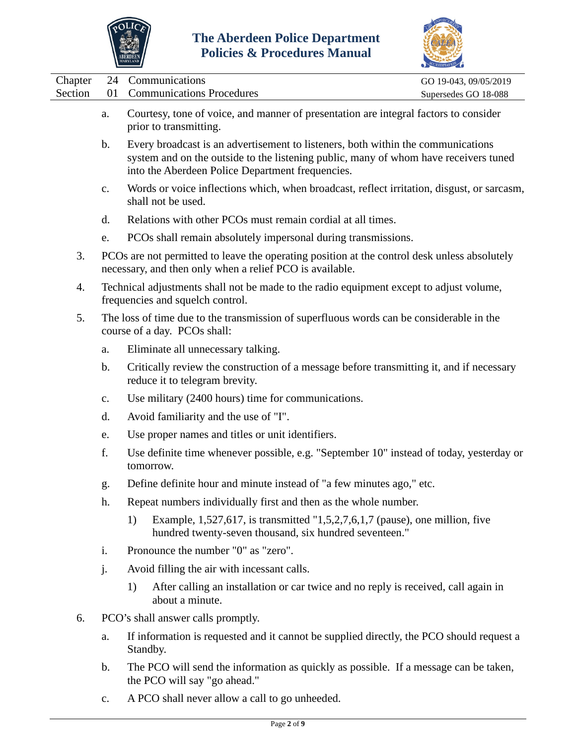



|                    |                                                                                                                          |    |                                                                                                                                                                                                                              | COREDITATION                                  |
|--------------------|--------------------------------------------------------------------------------------------------------------------------|----|------------------------------------------------------------------------------------------------------------------------------------------------------------------------------------------------------------------------------|-----------------------------------------------|
| Chapter<br>Section | 24<br>01                                                                                                                 |    | Communications<br><b>Communications Procedures</b>                                                                                                                                                                           | GO 19-043, 09/05/2019<br>Supersedes GO 18-088 |
|                    | a.                                                                                                                       |    | Courtesy, tone of voice, and manner of presentation are integral factors to consider<br>prior to transmitting.                                                                                                               |                                               |
|                    | b.                                                                                                                       |    | Every broadcast is an advertisement to listeners, both within the communications<br>system and on the outside to the listening public, many of whom have receivers tuned<br>into the Aberdeen Police Department frequencies. |                                               |
|                    | c.                                                                                                                       |    | Words or voice inflections which, when broadcast, reflect irritation, disgust, or sarcasm,<br>shall not be used.                                                                                                             |                                               |
|                    | d.                                                                                                                       |    | Relations with other PCOs must remain cordial at all times.                                                                                                                                                                  |                                               |
|                    | e.                                                                                                                       |    | PCOs shall remain absolutely impersonal during transmissions.                                                                                                                                                                |                                               |
| 3.                 |                                                                                                                          |    | PCOs are not permitted to leave the operating position at the control desk unless absolutely<br>necessary, and then only when a relief PCO is available.                                                                     |                                               |
| 4.                 |                                                                                                                          |    | Technical adjustments shall not be made to the radio equipment except to adjust volume,<br>frequencies and squelch control.                                                                                                  |                                               |
| 5.                 | The loss of time due to the transmission of superfluous words can be considerable in the<br>course of a day. PCOs shall: |    |                                                                                                                                                                                                                              |                                               |
|                    | a.                                                                                                                       |    | Eliminate all unnecessary talking.                                                                                                                                                                                           |                                               |
|                    | b.                                                                                                                       |    | Critically review the construction of a message before transmitting it, and if necessary<br>reduce it to telegram brevity.                                                                                                   |                                               |
|                    | $C_{\bullet}$                                                                                                            |    | Use military (2400 hours) time for communications.                                                                                                                                                                           |                                               |
|                    | d.                                                                                                                       |    | Avoid familiarity and the use of "I".                                                                                                                                                                                        |                                               |
|                    | e.                                                                                                                       |    | Use proper names and titles or unit identifiers.                                                                                                                                                                             |                                               |
|                    | f.                                                                                                                       |    | Use definite time whenever possible, e.g. "September 10" instead of today, yesterday or<br>tomorrow.                                                                                                                         |                                               |
|                    | g.                                                                                                                       |    | Define definite hour and minute instead of "a few minutes ago," etc.                                                                                                                                                         |                                               |
|                    | h.                                                                                                                       |    | Repeat numbers individually first and then as the whole number.                                                                                                                                                              |                                               |
|                    |                                                                                                                          | 1) | Example, 1,527,617, is transmitted "1,5,2,7,6,1,7 (pause), one million, five<br>hundred twenty-seven thousand, six hundred seventeen."                                                                                       |                                               |
|                    | i.                                                                                                                       |    | Pronounce the number "0" as "zero".                                                                                                                                                                                          |                                               |
|                    | j.                                                                                                                       |    | Avoid filling the air with incessant calls.                                                                                                                                                                                  |                                               |
|                    |                                                                                                                          | 1) | After calling an installation or car twice and no reply is received, call again in<br>about a minute.                                                                                                                        |                                               |
| 6.                 |                                                                                                                          |    | PCO's shall answer calls promptly.                                                                                                                                                                                           |                                               |
|                    | a.                                                                                                                       |    | If information is requested and it cannot be supplied directly, the PCO should request a<br>Standby.                                                                                                                         |                                               |

- b. The PCO will send the information as quickly as possible. If a message can be taken, the PCO will say "go ahead."
- c. A PCO shall never allow a call to go unheeded.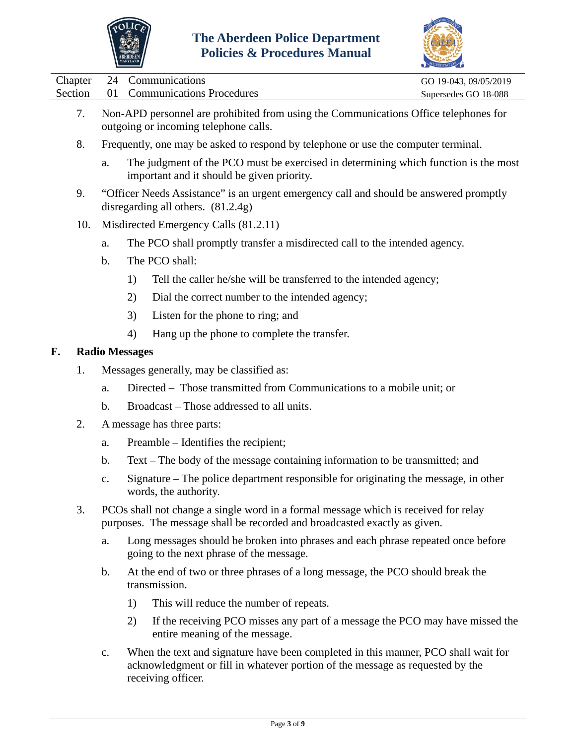



|  | $\sum_{n=1}^{\infty}$                                                                | ACCREDITATION         |
|--|--------------------------------------------------------------------------------------|-----------------------|
|  | Chapter 24 Communications                                                            | GO 19-043, 09/05/2019 |
|  | Section 01 Communications Procedures                                                 | Supersedes GO 18-088  |
|  | Non-APD personnel are prohibited from using the Communications Office telephones for |                       |

- 7. Non-APD personnel are prohibited from using the Communications Office telephones for outgoing or incoming telephone calls.
- 8. Frequently, one may be asked to respond by telephone or use the computer terminal.
	- a. The judgment of the PCO must be exercised in determining which function is the most important and it should be given priority.
- 9. "Officer Needs Assistance" is an urgent emergency call and should be answered promptly disregarding all others. (81.2.4g)
- 10. Misdirected Emergency Calls (81.2.11)
	- a. The PCO shall promptly transfer a misdirected call to the intended agency.
	- b. The PCO shall:
		- 1) Tell the caller he/she will be transferred to the intended agency;
		- 2) Dial the correct number to the intended agency;
		- 3) Listen for the phone to ring; and
		- 4) Hang up the phone to complete the transfer.

## **F. Radio Messages**

- 1. Messages generally, may be classified as:
	- a. Directed Those transmitted from Communications to a mobile unit; or
	- b. Broadcast Those addressed to all units.
- 2. A message has three parts:
	- a. Preamble Identifies the recipient;
	- b. Text The body of the message containing information to be transmitted; and
	- c. Signature The police department responsible for originating the message, in other words, the authority.
- 3. PCOs shall not change a single word in a formal message which is received for relay purposes. The message shall be recorded and broadcasted exactly as given.
	- a. Long messages should be broken into phrases and each phrase repeated once before going to the next phrase of the message.
	- b. At the end of two or three phrases of a long message, the PCO should break the transmission.
		- 1) This will reduce the number of repeats.
		- 2) If the receiving PCO misses any part of a message the PCO may have missed the entire meaning of the message.
	- c. When the text and signature have been completed in this manner, PCO shall wait for acknowledgment or fill in whatever portion of the message as requested by the receiving officer.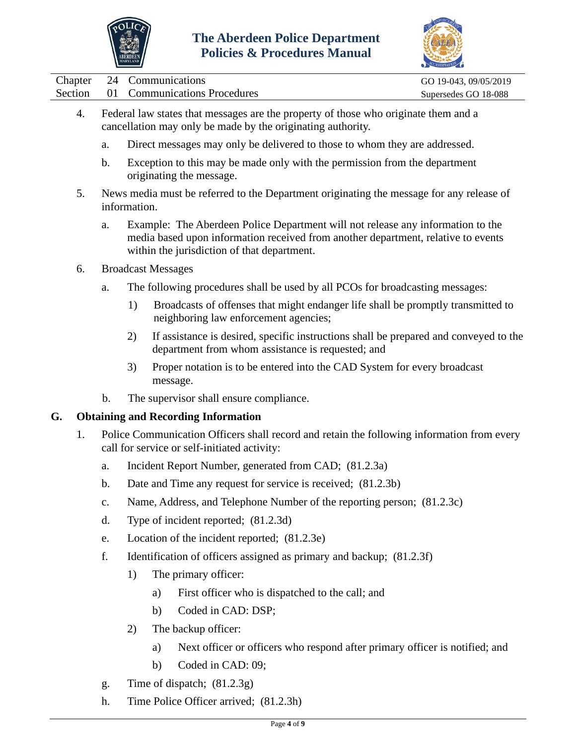



|  | Chapter 24 Communications            | GO 19-043, 09/05/2019 |
|--|--------------------------------------|-----------------------|
|  | Section 01 Communications Procedures | Supersedes GO 18-088  |
|  |                                      |                       |

- 4. Federal law states that messages are the property of those who originate them and a cancellation may only be made by the originating authority.
	- a. Direct messages may only be delivered to those to whom they are addressed.
	- b. Exception to this may be made only with the permission from the department originating the message.
- 5. News media must be referred to the Department originating the message for any release of information.
	- a. Example: The Aberdeen Police Department will not release any information to the media based upon information received from another department, relative to events within the jurisdiction of that department.
- 6. Broadcast Messages
	- a. The following procedures shall be used by all PCOs for broadcasting messages:
		- 1) Broadcasts of offenses that might endanger life shall be promptly transmitted to neighboring law enforcement agencies;
		- 2) If assistance is desired, specific instructions shall be prepared and conveyed to the department from whom assistance is requested; and
		- 3) Proper notation is to be entered into the CAD System for every broadcast message.
	- b. The supervisor shall ensure compliance.

## **G. Obtaining and Recording Information**

- 1. Police Communication Officers shall record and retain the following information from every call for service or self-initiated activity:
	- a. Incident Report Number, generated from CAD; (81.2.3a)
	- b. Date and Time any request for service is received; (81.2.3b)
	- c. Name, Address, and Telephone Number of the reporting person; (81.2.3c)
	- d. Type of incident reported; (81.2.3d)
	- e. Location of the incident reported; (81.2.3e)
	- f. Identification of officers assigned as primary and backup; (81.2.3f)
		- 1) The primary officer:
			- a) First officer who is dispatched to the call; and
			- b) Coded in CAD: DSP;
		- 2) The backup officer:
			- a) Next officer or officers who respond after primary officer is notified; and
			- b) Coded in CAD: 09;
	- g. Time of dispatch; (81.2.3g)
	- h. Time Police Officer arrived; (81.2.3h)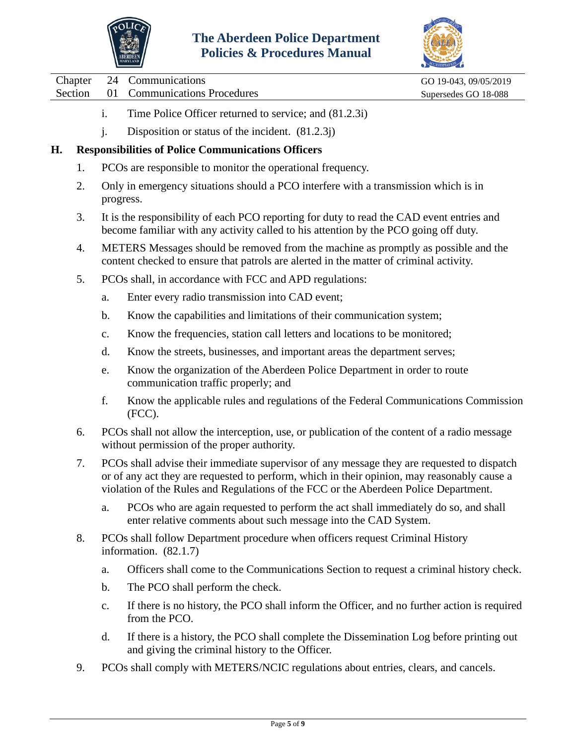



Chapter 24 Communications GO 19-043, 09/05/2019

Section 01 Communications Procedures Supersedes GO 18-088

- i. Time Police Officer returned to service; and (81.2.3i)
- j. Disposition or status of the incident. (81.2.3j)

## **H. Responsibilities of Police Communications Officers**

- 1. PCOs are responsible to monitor the operational frequency.
- 2. Only in emergency situations should a PCO interfere with a transmission which is in progress.
- 3. It is the responsibility of each PCO reporting for duty to read the CAD event entries and become familiar with any activity called to his attention by the PCO going off duty.
- 4. METERS Messages should be removed from the machine as promptly as possible and the content checked to ensure that patrols are alerted in the matter of criminal activity.
- 5. PCOs shall, in accordance with FCC and APD regulations:
	- a. Enter every radio transmission into CAD event;
	- b. Know the capabilities and limitations of their communication system;
	- c. Know the frequencies, station call letters and locations to be monitored;
	- d. Know the streets, businesses, and important areas the department serves;
	- e. Know the organization of the Aberdeen Police Department in order to route communication traffic properly; and
	- f. Know the applicable rules and regulations of the Federal Communications Commission (FCC).
- 6. PCOs shall not allow the interception, use, or publication of the content of a radio message without permission of the proper authority.
- 7. PCOs shall advise their immediate supervisor of any message they are requested to dispatch or of any act they are requested to perform, which in their opinion, may reasonably cause a violation of the Rules and Regulations of the FCC or the Aberdeen Police Department.
	- a. PCOs who are again requested to perform the act shall immediately do so, and shall enter relative comments about such message into the CAD System.
- 8. PCOs shall follow Department procedure when officers request Criminal History information. (82.1.7)
	- a. Officers shall come to the Communications Section to request a criminal history check.
	- b. The PCO shall perform the check.
	- c. If there is no history, the PCO shall inform the Officer, and no further action is required from the PCO.
	- d. If there is a history, the PCO shall complete the Dissemination Log before printing out and giving the criminal history to the Officer.
- 9. PCOs shall comply with METERS/NCIC regulations about entries, clears, and cancels.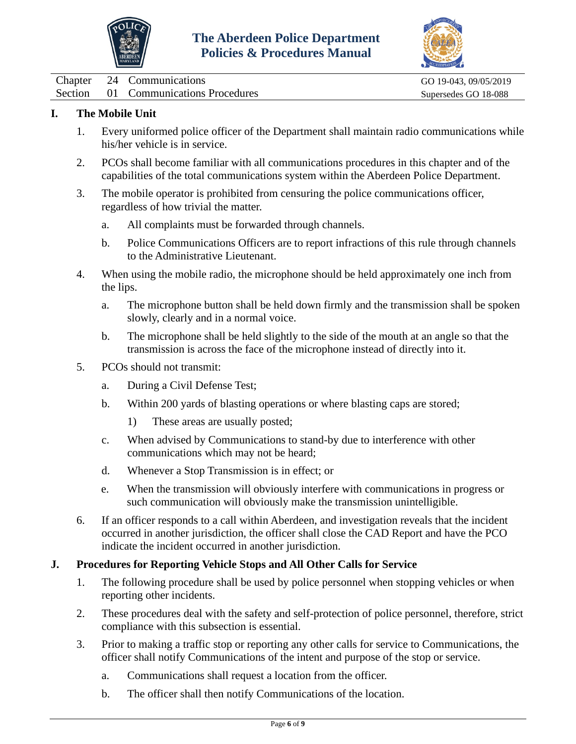



|  | Chapter 24 Communications            | GO 19-043, 09/05/2019 |  |
|--|--------------------------------------|-----------------------|--|
|  | Section 01 Communications Procedures | Supersedes GO 18-088  |  |

## **I. The Mobile Unit**

- 1. Every uniformed police officer of the Department shall maintain radio communications while his/her vehicle is in service.
- 2. PCOs shall become familiar with all communications procedures in this chapter and of the capabilities of the total communications system within the Aberdeen Police Department.
- 3. The mobile operator is prohibited from censuring the police communications officer, regardless of how trivial the matter.
	- a. All complaints must be forwarded through channels.
	- b. Police Communications Officers are to report infractions of this rule through channels to the Administrative Lieutenant.
- 4. When using the mobile radio, the microphone should be held approximately one inch from the lips.
	- a. The microphone button shall be held down firmly and the transmission shall be spoken slowly, clearly and in a normal voice.
	- b. The microphone shall be held slightly to the side of the mouth at an angle so that the transmission is across the face of the microphone instead of directly into it.
- 5. PCOs should not transmit:
	- a. During a Civil Defense Test;
	- b. Within 200 yards of blasting operations or where blasting caps are stored;
		- 1) These areas are usually posted;
	- c. When advised by Communications to stand-by due to interference with other communications which may not be heard;
	- d. Whenever a Stop Transmission is in effect; or
	- e. When the transmission will obviously interfere with communications in progress or such communication will obviously make the transmission unintelligible.
- 6. If an officer responds to a call within Aberdeen, and investigation reveals that the incident occurred in another jurisdiction, the officer shall close the CAD Report and have the PCO indicate the incident occurred in another jurisdiction.

## **J. Procedures for Reporting Vehicle Stops and All Other Calls for Service**

- 1. The following procedure shall be used by police personnel when stopping vehicles or when reporting other incidents.
- 2. These procedures deal with the safety and self-protection of police personnel, therefore, strict compliance with this subsection is essential.
- 3. Prior to making a traffic stop or reporting any other calls for service to Communications, the officer shall notify Communications of the intent and purpose of the stop or service.
	- a. Communications shall request a location from the officer.
	- b. The officer shall then notify Communications of the location.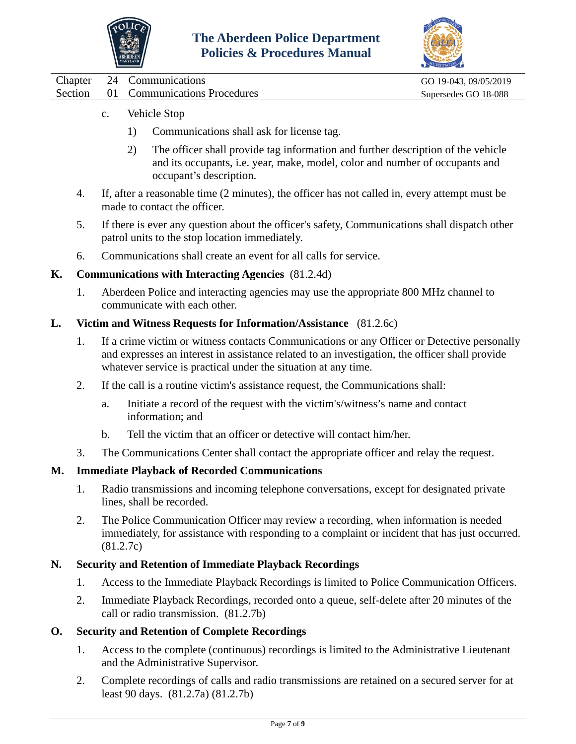



|  | Chapter 24 Communications            | GO 19-043, 09/05/2019 |
|--|--------------------------------------|-----------------------|
|  | Section 01 Communications Procedures | Supersedes GO 18-088  |

- c. Vehicle Stop
	- 1) Communications shall ask for license tag.
	- 2) The officer shall provide tag information and further description of the vehicle and its occupants, i.e. year, make, model, color and number of occupants and occupant's description.
- 4. If, after a reasonable time (2 minutes), the officer has not called in, every attempt must be made to contact the officer.
- 5. If there is ever any question about the officer's safety, Communications shall dispatch other patrol units to the stop location immediately.
- 6. Communications shall create an event for all calls for service.

## **K. Communications with Interacting Agencies** (81.2.4d)

1. Aberdeen Police and interacting agencies may use the appropriate 800 MHz channel to communicate with each other.

#### **L. Victim and Witness Requests for Information/Assistance** (81.2.6c)

- 1. If a crime victim or witness contacts Communications or any Officer or Detective personally and expresses an interest in assistance related to an investigation, the officer shall provide whatever service is practical under the situation at any time.
- 2. If the call is a routine victim's assistance request, the Communications shall:
	- a. Initiate a record of the request with the victim's/witness's name and contact information; and
	- b. Tell the victim that an officer or detective will contact him/her.
- 3. The Communications Center shall contact the appropriate officer and relay the request.

#### **M. Immediate Playback of Recorded Communications**

- 1. Radio transmissions and incoming telephone conversations, except for designated private lines, shall be recorded.
- 2. The Police Communication Officer may review a recording, when information is needed immediately, for assistance with responding to a complaint or incident that has just occurred. (81.2.7c)

#### **N. Security and Retention of Immediate Playback Recordings**

- 1. Access to the Immediate Playback Recordings is limited to Police Communication Officers.
- 2. Immediate Playback Recordings, recorded onto a queue, self-delete after 20 minutes of the call or radio transmission. (81.2.7b)

#### **O. Security and Retention of Complete Recordings**

- 1. Access to the complete (continuous) recordings is limited to the Administrative Lieutenant and the Administrative Supervisor.
- 2. Complete recordings of calls and radio transmissions are retained on a secured server for at least 90 days. (81.2.7a) (81.2.7b)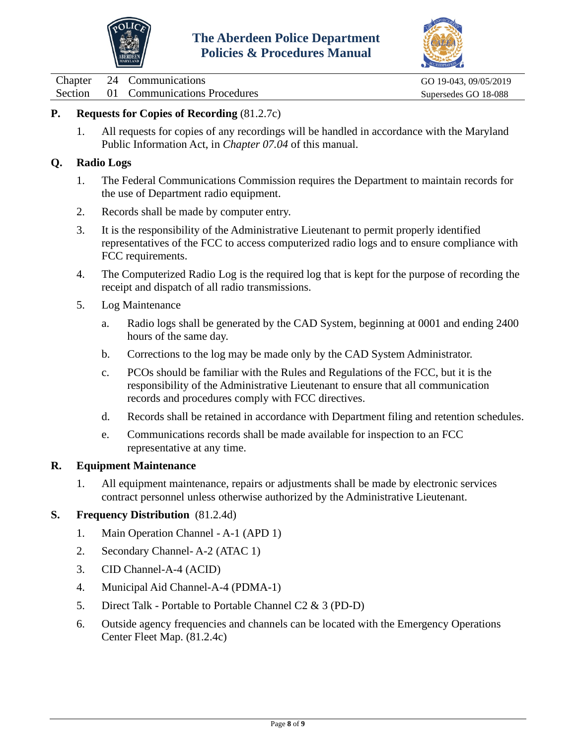



Chapter 24 Communications<br>
Section 01 Communications Procedures Superseduces Supersedes GO 18-088 01 Communications Procedures Supersedes GO 18-088

## **P. Requests for Copies of Recording** (81.2.7c)

1. All requests for copies of any recordings will be handled in accordance with the Maryland Public Information Act, in *Chapter 07.04* of this manual.

### **Q. Radio Logs**

- 1. The Federal Communications Commission requires the Department to maintain records for the use of Department radio equipment.
- 2. Records shall be made by computer entry.
- 3. It is the responsibility of the Administrative Lieutenant to permit properly identified representatives of the FCC to access computerized radio logs and to ensure compliance with FCC requirements.
- 4. The Computerized Radio Log is the required log that is kept for the purpose of recording the receipt and dispatch of all radio transmissions.
- 5. Log Maintenance
	- a. Radio logs shall be generated by the CAD System, beginning at 0001 and ending 2400 hours of the same day.
	- b. Corrections to the log may be made only by the CAD System Administrator.
	- c. PCOs should be familiar with the Rules and Regulations of the FCC, but it is the responsibility of the Administrative Lieutenant to ensure that all communication records and procedures comply with FCC directives.
	- d. Records shall be retained in accordance with Department filing and retention schedules.
	- e. Communications records shall be made available for inspection to an FCC representative at any time.

#### **R. Equipment Maintenance**

1. All equipment maintenance, repairs or adjustments shall be made by electronic services contract personnel unless otherwise authorized by the Administrative Lieutenant.

#### **S. Frequency Distribution** (81.2.4d)

- 1. Main Operation Channel A-1 (APD 1)
- 2. Secondary Channel- A-2 (ATAC 1)
- 3. CID Channel-A-4 (ACID)
- 4. Municipal Aid Channel-A-4 (PDMA-1)
- 5. Direct Talk Portable to Portable Channel C2 & 3 (PD-D)
- 6. Outside agency frequencies and channels can be located with the Emergency Operations Center Fleet Map. (81.2.4c)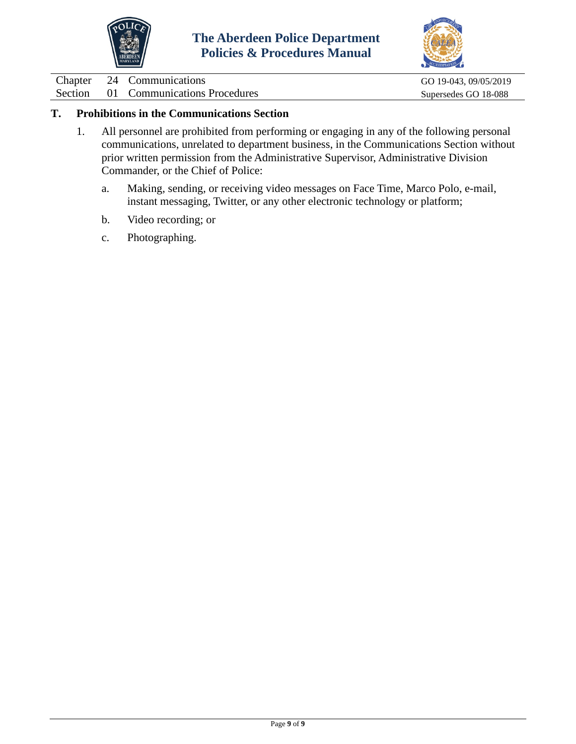



Chapter 24 Communications<br>
Section 01 Communications Procedures Supersedes GO 18-088 01 Communications Procedures Supersedes GO 18-088

## **T. Prohibitions in the Communications Section**

- 1. All personnel are prohibited from performing or engaging in any of the following personal communications, unrelated to department business, in the Communications Section without prior written permission from the Administrative Supervisor, Administrative Division Commander, or the Chief of Police:
	- a. Making, sending, or receiving video messages on Face Time, Marco Polo, e-mail, instant messaging, Twitter, or any other electronic technology or platform;
	- b. Video recording; or
	- c. Photographing.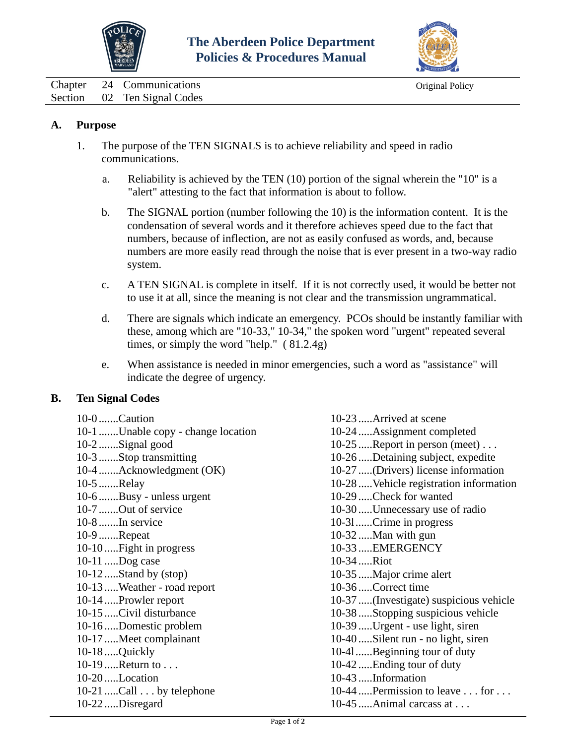



<span id="page-10-0"></span>Chapter 24 Communications Chapter 24 Communications Section 02 Ten Signal Codes

### **A. Purpose**

- 1. The purpose of the TEN SIGNALS is to achieve reliability and speed in radio communications.
	- a. Reliability is achieved by the TEN (10) portion of the signal wherein the "10" is a "alert" attesting to the fact that information is about to follow.
	- b. The SIGNAL portion (number following the 10) is the information content. It is the condensation of several words and it therefore achieves speed due to the fact that numbers, because of inflection, are not as easily confused as words, and, because numbers are more easily read through the noise that is ever present in a two-way radio system.
	- c. A TEN SIGNAL is complete in itself. If it is not correctly used, it would be better not to use it at all, since the meaning is not clear and the transmission ungrammatical.
	- d. There are signals which indicate an emergency. PCOs should be instantly familiar with these, among which are "10-33," 10-34," the spoken word "urgent" repeated several times, or simply the word "help." ( 81.2.4g)
	- e. When assistance is needed in minor emergencies, such a word as "assistance" will indicate the degree of urgency.

## **B. Ten Signal Codes**

10-23 .....Arrived at scene 10-24 .....Assignment completed 10-25 .....Report in person (meet) . . . 10-26 .....Detaining subject, expedite 10-27 .....(Drivers) license information 10-28 .....Vehicle registration information 10-29 .....Check for wanted 10-30 .....Unnecessary use of radio 10-3l......Crime in progress 10-32 .....Man with gun 10-33 .....EMERGENCY 10-34 .....Riot 10-35 .....Major crime alert 10-36 .....Correct time 10-37 .....(Investigate) suspicious vehicle 10-38 .....Stopping suspicious vehicle 10-39 .....Urgent - use light, siren 10-40 .....Silent run - no light, siren 10-4l......Beginning tour of duty 10-42 .....Ending tour of duty 10-43 .....Information 10-44  $\ldots$  Permission to leave  $\ldots$  for  $\ldots$ 10-45 .....Animal carcass at . . .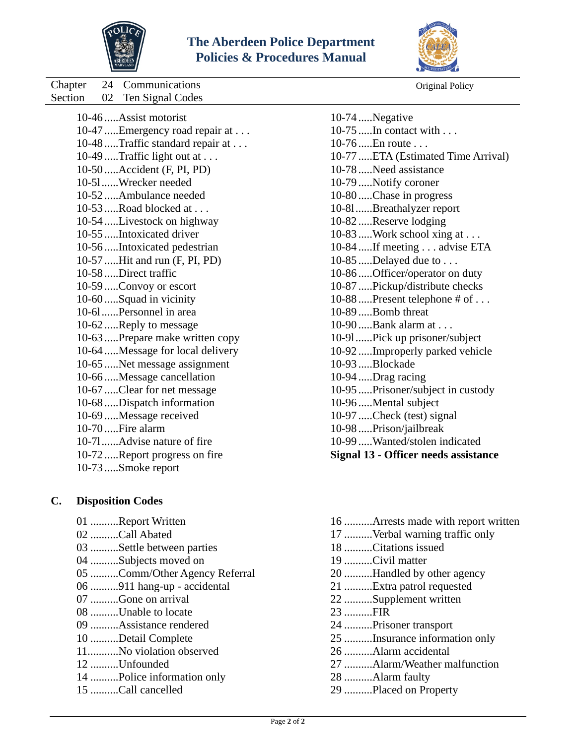



Chapter 24 Communications Original Policy Original Policy

| Section | 02 Ten Signal Codes               |
|---------|-----------------------------------|
|         | 10-46  Assist motorist            |
|         | 10-47  Emergency road repair at   |
|         | 10-48  Traffic standard repair at |
|         | 10-49 Traffic light out at        |
|         | 10-50  Accident (F, PI, PD)       |
|         | 10-51Wrecker needed               |
|         | 10-52 Ambulance needed            |
|         | 10-53 Road blocked at             |
|         | 10-54 Livestock on highway        |
|         | 10-55  Intoxicated driver         |
|         | 10-56Intoxicated pedestrian       |
|         | 10-57  Hit and run (F, PI, PD)    |
|         | 10-58 Direct traffic              |
|         | 10-59  Convoy or escort           |
|         | 10-60  Squad in vicinity          |
|         | 10-61Personnel in area            |
|         | 10-62Reply to message             |
|         | 10-63 Prepare make written copy   |
|         | 10-64 Message for local delivery  |
|         | 10-65  Net message assignment     |
|         | 10-66  Message cancellation       |
|         | 10-67Clear for net message        |
|         | 10-68Dispatch information         |
|         | 10-69  Message received           |
|         | $10-70$ Fire alarm                |
|         | 10-71Advise nature of fire        |
|         | 10-72Report progress on fire      |
|         | 10-73 Smoke report                |
|         |                                   |

## **C. Disposition Codes**

 ..........Report Written ..........Call Abated ..........Settle between parties ..........Subjects moved on ..........Comm/Other Agency Referral ..........911 hang-up - accidental ..........Gone on arrival ..........Unable to locate ..........Assistance rendered ..........Detail Complete 11...........No violation observed ..........Unfounded ..........Police information only ..........Call cancelled

| 10-74 Negative                              |
|---------------------------------------------|
| $10-75$ In contact with                     |
| $10-76$ En route                            |
| 10-77  ETA (Estimated Time Arrival)         |
| 10-78  Need assistance                      |
| 10-79  Notify coroner                       |
| 10-80Chase in progress                      |
| 10-81Breathalyzer report                    |
| 10-82 Reserve lodging                       |
| 10-83  Work school xing at                  |
| 10-84  If meeting advise ETA                |
| 10-85 Delayed due to $\dots$                |
| 10-86  Officer/operator on duty             |
| 10-87Pickup/distribute checks               |
| 10-88  Present telephone # of               |
| 10-89 Bomb threat                           |
| 10-90  Bank alarm at                        |
| 10-91Pick up prisoner/subject               |
| 10-92Improperly parked vehicle              |
| 10-93 Blockade                              |
| 10-94 Drag racing                           |
| 10-95  Prisoner/subject in custody          |
| 10-96Mental subject                         |
| 10-97 Check (test) signal                   |
| 10-98  Prison/jailbreak                     |
| 10-99 Wanted/stolen indicated               |
| <b>Signal 13 - Officer needs assistance</b> |
|                                             |

 ..........Arrests made with report written ..........Verbal warning traffic only ..........Citations issued ..........Civil matter ..........Handled by other agency ..........Extra patrol requested ..........Supplement written ..........FIR ..........Prisoner transport ..........Insurance information only ..........Alarm accidental ..........Alarm/Weather malfunction ..........Alarm faulty ..........Placed on Property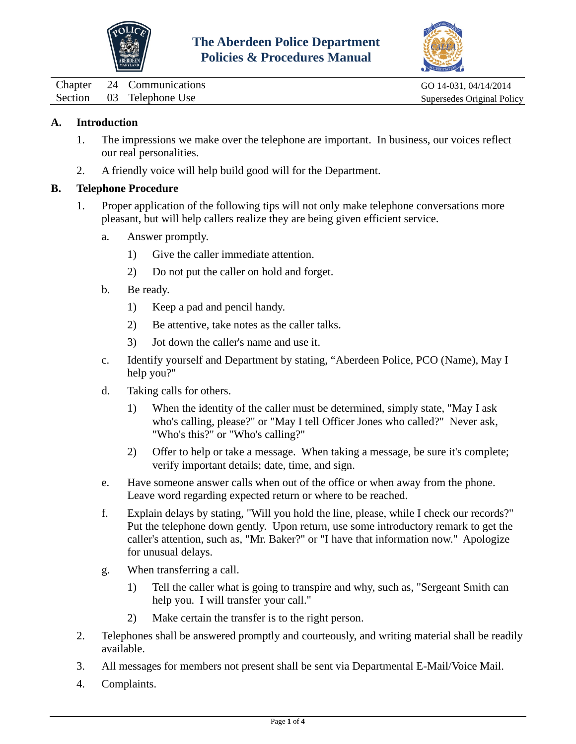



<span id="page-12-0"></span>Chapter 24 Communications GO 14-031, 04/14/2014 Section 03 Telephone Use Supersedes Original Policy

## **A. Introduction**

- 1. The impressions we make over the telephone are important. In business, our voices reflect our real personalities.
- 2. A friendly voice will help build good will for the Department.

## **B. Telephone Procedure**

- 1. Proper application of the following tips will not only make telephone conversations more pleasant, but will help callers realize they are being given efficient service.
	- a. Answer promptly.
		- 1) Give the caller immediate attention.
		- 2) Do not put the caller on hold and forget.
	- b. Be ready.
		- 1) Keep a pad and pencil handy.
		- 2) Be attentive, take notes as the caller talks.
		- 3) Jot down the caller's name and use it.
	- c. Identify yourself and Department by stating, "Aberdeen Police, PCO (Name), May I help you?"
	- d. Taking calls for others.
		- 1) When the identity of the caller must be determined, simply state, "May I ask who's calling, please?" or "May I tell Officer Jones who called?" Never ask, "Who's this?" or "Who's calling?"
		- 2) Offer to help or take a message. When taking a message, be sure it's complete; verify important details; date, time, and sign.
	- e. Have someone answer calls when out of the office or when away from the phone. Leave word regarding expected return or where to be reached.
	- f. Explain delays by stating, "Will you hold the line, please, while I check our records?" Put the telephone down gently. Upon return, use some introductory remark to get the caller's attention, such as, "Mr. Baker?" or "I have that information now." Apologize for unusual delays.
	- g. When transferring a call.
		- 1) Tell the caller what is going to transpire and why, such as, "Sergeant Smith can help you. I will transfer your call."
		- 2) Make certain the transfer is to the right person.
- 2. Telephones shall be answered promptly and courteously, and writing material shall be readily available.
- 3. All messages for members not present shall be sent via Departmental E-Mail/Voice Mail.
- 4. Complaints.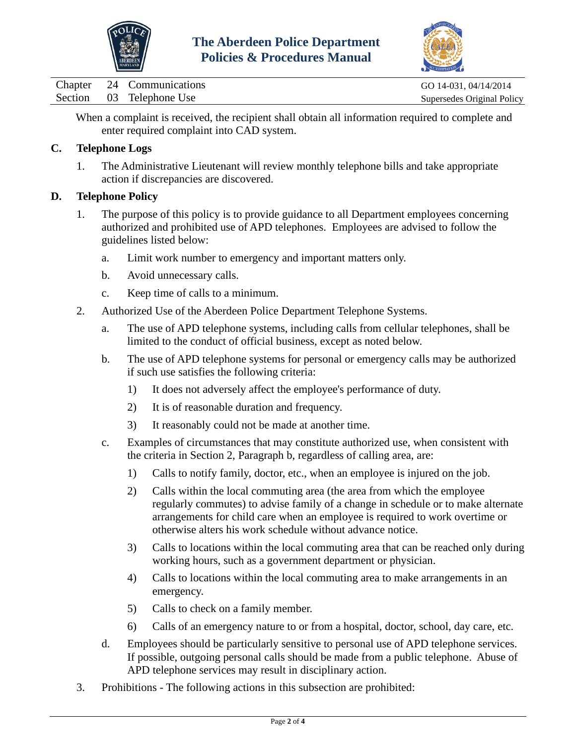



Chapter 24 Communications GO 14-031, 04/14/2014 Section 03 Telephone Use Supersedes Original Policy

When a complaint is received, the recipient shall obtain all information required to complete and enter required complaint into CAD system.

## **C. Telephone Logs**

1. The Administrative Lieutenant will review monthly telephone bills and take appropriate action if discrepancies are discovered.

## **D. Telephone Policy**

- 1. The purpose of this policy is to provide guidance to all Department employees concerning authorized and prohibited use of APD telephones. Employees are advised to follow the guidelines listed below:
	- a. Limit work number to emergency and important matters only.
	- b. Avoid unnecessary calls.
	- c. Keep time of calls to a minimum.
- 2. Authorized Use of the Aberdeen Police Department Telephone Systems.
	- a. The use of APD telephone systems, including calls from cellular telephones, shall be limited to the conduct of official business, except as noted below.
	- b. The use of APD telephone systems for personal or emergency calls may be authorized if such use satisfies the following criteria:
		- 1) It does not adversely affect the employee's performance of duty.
		- 2) It is of reasonable duration and frequency.
		- 3) It reasonably could not be made at another time.
	- c. Examples of circumstances that may constitute authorized use, when consistent with the criteria in Section 2, Paragraph b, regardless of calling area, are:
		- 1) Calls to notify family, doctor, etc., when an employee is injured on the job.
		- 2) Calls within the local commuting area (the area from which the employee regularly commutes) to advise family of a change in schedule or to make alternate arrangements for child care when an employee is required to work overtime or otherwise alters his work schedule without advance notice.
		- 3) Calls to locations within the local commuting area that can be reached only during working hours, such as a government department or physician.
		- 4) Calls to locations within the local commuting area to make arrangements in an emergency.
		- 5) Calls to check on a family member.
		- 6) Calls of an emergency nature to or from a hospital, doctor, school, day care, etc.
	- d. Employees should be particularly sensitive to personal use of APD telephone services. If possible, outgoing personal calls should be made from a public telephone. Abuse of APD telephone services may result in disciplinary action.
- 3. Prohibitions The following actions in this subsection are prohibited: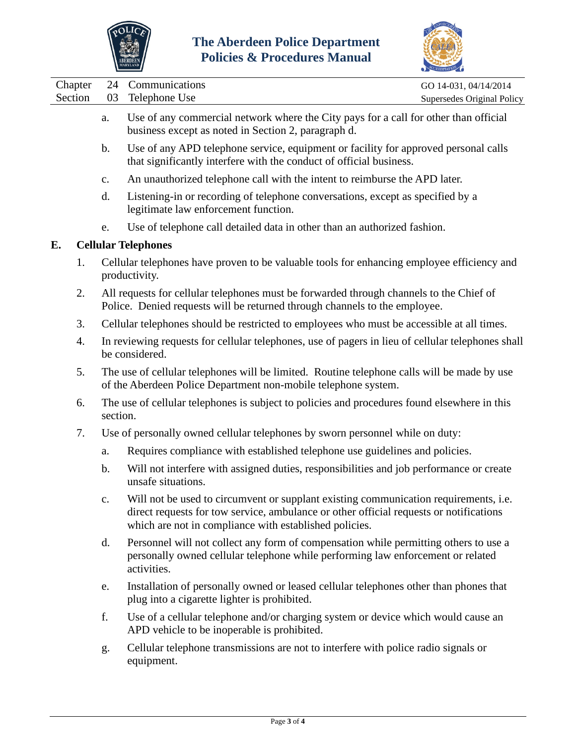



|                            |         |                | MARYLAND                                                                                                                                                                                                                                        | ACCREDITATION              |
|----------------------------|---------|----------------|-------------------------------------------------------------------------------------------------------------------------------------------------------------------------------------------------------------------------------------------------|----------------------------|
|                            | Chapter | 24             | Communications                                                                                                                                                                                                                                  | GO 14-031, 04/14/2014      |
|                            | Section | 03             | Telephone Use                                                                                                                                                                                                                                   | Supersedes Original Policy |
|                            |         | a.             | Use of any commercial network where the City pays for a call for other than official<br>business except as noted in Section 2, paragraph d.                                                                                                     |                            |
|                            |         | $\mathbf b$ .  | Use of any APD telephone service, equipment or facility for approved personal calls<br>that significantly interfere with the conduct of official business.                                                                                      |                            |
|                            |         | $\mathbf{c}$ . | An unauthorized telephone call with the intent to reimburse the APD later.                                                                                                                                                                      |                            |
|                            |         | d.             | Listening-in or recording of telephone conversations, except as specified by a<br>legitimate law enforcement function.                                                                                                                          |                            |
|                            |         | e.             | Use of telephone call detailed data in other than an authorized fashion.                                                                                                                                                                        |                            |
| E.                         |         |                | <b>Cellular Telephones</b>                                                                                                                                                                                                                      |                            |
|                            | 1.      |                | Cellular telephones have proven to be valuable tools for enhancing employee efficiency and<br>productivity.                                                                                                                                     |                            |
|                            | 2.      |                | All requests for cellular telephones must be forwarded through channels to the Chief of<br>Police. Denied requests will be returned through channels to the employee.                                                                           |                            |
| 3.<br>4.<br>be considered. |         |                | Cellular telephones should be restricted to employees who must be accessible at all times.                                                                                                                                                      |                            |
|                            |         |                | In reviewing requests for cellular telephones, use of pagers in lieu of cellular telephones shall                                                                                                                                               |                            |
|                            | 5.      |                | The use of cellular telephones will be limited. Routine telephone calls will be made by use<br>of the Aberdeen Police Department non-mobile telephone system.                                                                                   |                            |
|                            | 6.      | section.       | The use of cellular telephones is subject to policies and procedures found elsewhere in this                                                                                                                                                    |                            |
|                            | 7.      |                | Use of personally owned cellular telephones by sworn personnel while on duty:                                                                                                                                                                   |                            |
|                            |         | a.             | Requires compliance with established telephone use guidelines and policies.                                                                                                                                                                     |                            |
|                            |         | $\mathbf b$ .  | Will not interfere with assigned duties, responsibilities and job performance or create<br>unsafe situations.                                                                                                                                   |                            |
|                            |         | $\mathbf{c}$ . | Will not be used to circumvent or supplant existing communication requirements, <i>i.e.</i><br>direct requests for tow service, ambulance or other official requests or notifications<br>which are not in compliance with established policies. |                            |
|                            |         | d.             | Personnel will not collect any form of compensation while permitting others to use a<br>personally owned cellular telephone while performing law enforcement or related<br>activities.                                                          |                            |
|                            |         | e.             | Installation of personally owned or leased cellular telephones other than phones that<br>plug into a cigarette lighter is prohibited.                                                                                                           |                            |
|                            |         | f.             | Use of a cellular telephone and/or charging system or device which would cause an<br>APD vehicle to be inoperable is prohibited.                                                                                                                |                            |
|                            |         |                |                                                                                                                                                                                                                                                 |                            |

g. Cellular telephone transmissions are not to interfere with police radio signals or equipment.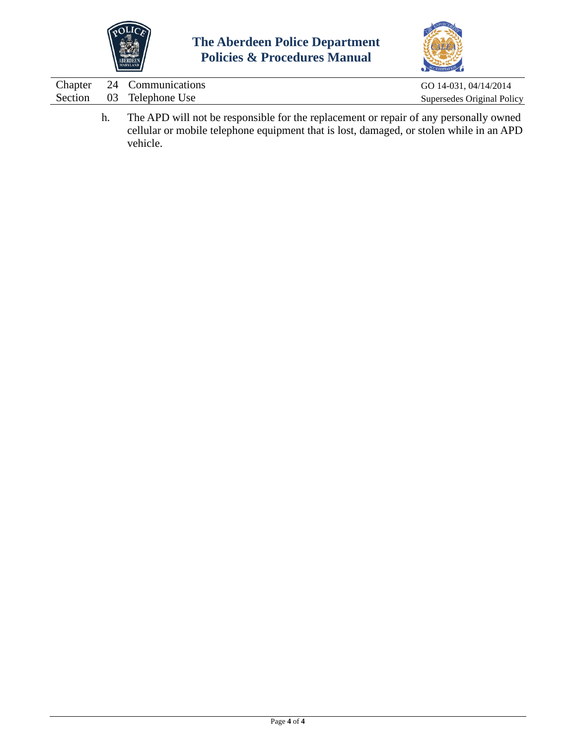



|  | Chapter 24 Communications | GO 14-031, 04/14/2014      |
|--|---------------------------|----------------------------|
|  | Section 03 Telephone Use  | Supersedes Original Policy |
|  |                           |                            |

h. The APD will not be responsible for the replacement or repair of any personally owned cellular or mobile telephone equipment that is lost, damaged, or stolen while in an APD vehicle.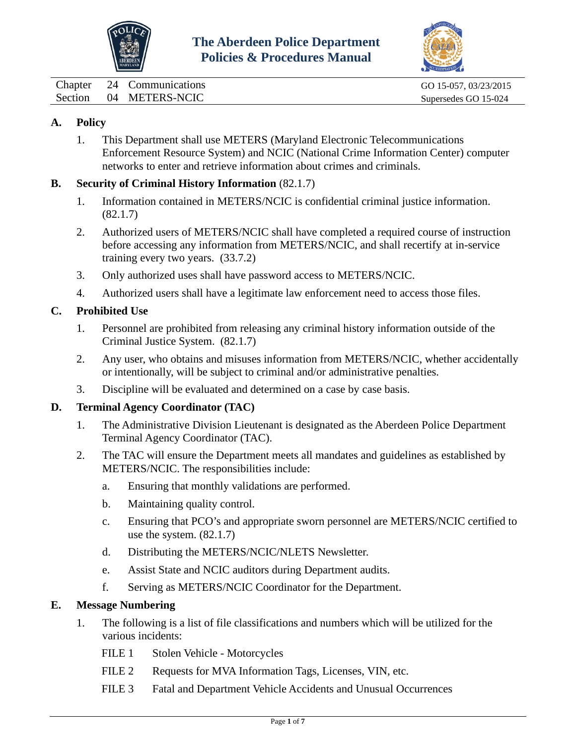



<span id="page-16-0"></span>Chapter 24 Communications GO 15-057, 03/23/2015 Section 04 METERS-NCIC Supersedes GO 15-024

## **A. Policy**

1. This Department shall use METERS (Maryland Electronic Telecommunications Enforcement Resource System) and NCIC (National Crime Information Center) computer networks to enter and retrieve information about crimes and criminals.

## **B. Security of Criminal History Information** (82.1.7)

- 1. Information contained in METERS/NCIC is confidential criminal justice information. (82.1.7)
- 2. Authorized users of METERS/NCIC shall have completed a required course of instruction before accessing any information from METERS/NCIC, and shall recertify at in-service training every two years. (33.7.2)
- 3. Only authorized uses shall have password access to METERS/NCIC.
- 4. Authorized users shall have a legitimate law enforcement need to access those files.

## **C. Prohibited Use**

- 1. Personnel are prohibited from releasing any criminal history information outside of the Criminal Justice System. (82.1.7)
- 2. Any user, who obtains and misuses information from METERS/NCIC, whether accidentally or intentionally, will be subject to criminal and/or administrative penalties.
- 3. Discipline will be evaluated and determined on a case by case basis.

## **D. Terminal Agency Coordinator (TAC)**

- 1. The Administrative Division Lieutenant is designated as the Aberdeen Police Department Terminal Agency Coordinator (TAC).
- 2. The TAC will ensure the Department meets all mandates and guidelines as established by METERS/NCIC. The responsibilities include:
	- a. Ensuring that monthly validations are performed.
	- b. Maintaining quality control.
	- c. Ensuring that PCO's and appropriate sworn personnel are METERS/NCIC certified to use the system. (82.1.7)
	- d. Distributing the METERS/NCIC/NLETS Newsletter.
	- e. Assist State and NCIC auditors during Department audits.
	- f. Serving as METERS/NCIC Coordinator for the Department.

#### **E. Message Numbering**

- 1. The following is a list of file classifications and numbers which will be utilized for the various incidents:
	- FILE 1 Stolen Vehicle Motorcycles
	- FILE 2 Requests for MVA Information Tags, Licenses, VIN, etc.
	- FILE 3 Fatal and Department Vehicle Accidents and Unusual Occurrences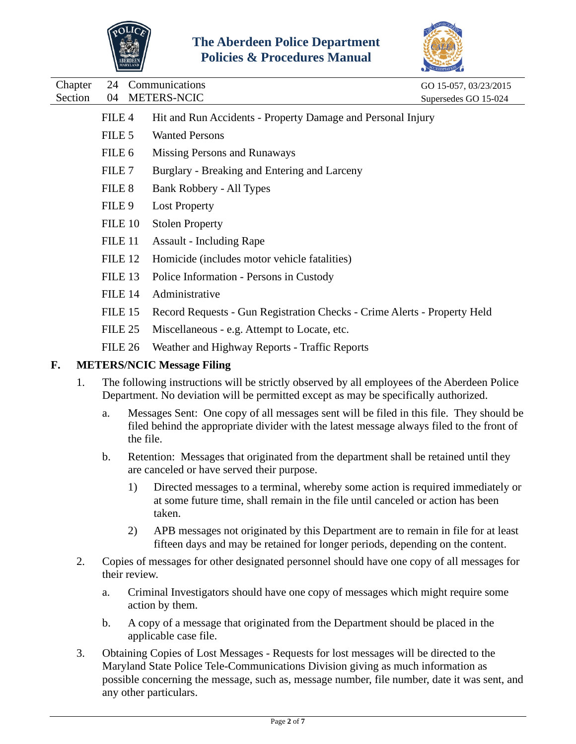



Chapter 24 Communications GO 15-057, 03/23/2015

|    | FILE <sub>4</sub>  | Hit and Run Accidents - Property Damage and Personal Injury              |
|----|--------------------|--------------------------------------------------------------------------|
|    | FILE 5             | <b>Wanted Persons</b>                                                    |
|    | FILE 6             | Missing Persons and Runaways                                             |
|    | FILE 7             | Burglary - Breaking and Entering and Larceny                             |
|    | FILE 8             | Bank Robbery - All Types                                                 |
|    | FILE <sub>9</sub>  | <b>Lost Property</b>                                                     |
|    | FILE 10            | <b>Stolen Property</b>                                                   |
|    | FILE 11            | <b>Assault - Including Rape</b>                                          |
|    | FILE <sub>12</sub> | Homicide (includes motor vehicle fatalities)                             |
|    | FILE 13            | Police Information - Persons in Custody                                  |
|    | FILE 14            | Administrative                                                           |
|    | FILE 15            | Record Requests - Gun Registration Checks - Crime Alerts - Property Held |
|    | FILE 25            | Miscellaneous - e.g. Attempt to Locate, etc.                             |
|    | FILE 26            | Weather and Highway Reports - Traffic Reports                            |
| F. |                    | <b>METERS/NCIC Message Filing</b>                                        |
|    |                    |                                                                          |

- 1. The following instructions will be strictly observed by all employees of the Aberdeen Police Department. No deviation will be permitted except as may be specifically authorized.
	- a. Messages Sent: One copy of all messages sent will be filed in this file. They should be filed behind the appropriate divider with the latest message always filed to the front of the file.
	- b. Retention: Messages that originated from the department shall be retained until they are canceled or have served their purpose.
		- 1) Directed messages to a terminal, whereby some action is required immediately or at some future time, shall remain in the file until canceled or action has been taken.
		- 2) APB messages not originated by this Department are to remain in file for at least fifteen days and may be retained for longer periods, depending on the content.
- 2. Copies of messages for other designated personnel should have one copy of all messages for their review.
	- a. Criminal Investigators should have one copy of messages which might require some action by them.
	- b. A copy of a message that originated from the Department should be placed in the applicable case file.
- 3. Obtaining Copies of Lost Messages Requests for lost messages will be directed to the Maryland State Police Tele-Communications Division giving as much information as possible concerning the message, such as, message number, file number, date it was sent, and any other particulars.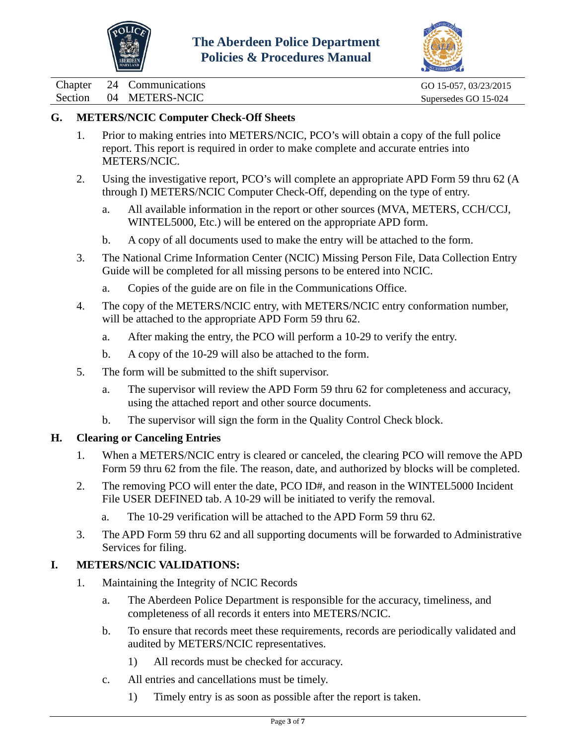



Chapter 24 Communications GO 15-057, 03/23/2015 Section 04 METERS-NCIC Supersedes GO 15-024

## **G. METERS/NCIC Computer Check-Off Sheets**

- 1. Prior to making entries into METERS/NCIC, PCO's will obtain a copy of the full police report. This report is required in order to make complete and accurate entries into METERS/NCIC.
- 2. Using the investigative report, PCO's will complete an appropriate APD Form 59 thru 62 (A through I) METERS/NCIC Computer Check-Off, depending on the type of entry.
	- a. All available information in the report or other sources (MVA, METERS, CCH/CCJ, WINTEL5000, Etc.) will be entered on the appropriate APD form.
	- b. A copy of all documents used to make the entry will be attached to the form.
- 3. The National Crime Information Center (NCIC) Missing Person File, Data Collection Entry Guide will be completed for all missing persons to be entered into NCIC.
	- a. Copies of the guide are on file in the Communications Office.
- 4. The copy of the METERS/NCIC entry, with METERS/NCIC entry conformation number, will be attached to the appropriate APD Form 59 thru 62.
	- a. After making the entry, the PCO will perform a 10-29 to verify the entry.
	- b. A copy of the 10-29 will also be attached to the form.
- 5. The form will be submitted to the shift supervisor.
	- a. The supervisor will review the APD Form 59 thru 62 for completeness and accuracy, using the attached report and other source documents.
	- b. The supervisor will sign the form in the Quality Control Check block.

## **H. Clearing or Canceling Entries**

- 1. When a METERS/NCIC entry is cleared or canceled, the clearing PCO will remove the APD Form 59 thru 62 from the file. The reason, date, and authorized by blocks will be completed.
- 2. The removing PCO will enter the date, PCO ID#, and reason in the WINTEL5000 Incident File USER DEFINED tab. A 10-29 will be initiated to verify the removal.
	- a. The 10-29 verification will be attached to the APD Form 59 thru 62.
- 3. The APD Form 59 thru 62 and all supporting documents will be forwarded to Administrative Services for filing.

## **I. METERS/NCIC VALIDATIONS:**

- 1. Maintaining the Integrity of NCIC Records
	- a. The Aberdeen Police Department is responsible for the accuracy, timeliness, and completeness of all records it enters into METERS/NCIC.
	- b. To ensure that records meet these requirements, records are periodically validated and audited by METERS/NCIC representatives.
		- 1) All records must be checked for accuracy.
	- c. All entries and cancellations must be timely.
		- 1) Timely entry is as soon as possible after the report is taken.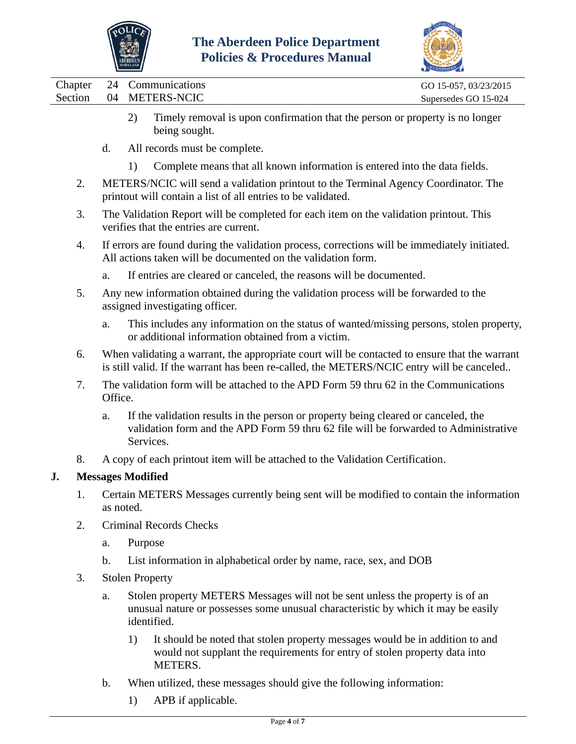



|         |                           | $\sim$ $\sim$ $\sim$ $\sim$ $\sim$ $\sim$ $\sim$ |
|---------|---------------------------|--------------------------------------------------|
|         | Chapter 24 Communications | GO 15-057, 03/23/2015                            |
| Section | 04 METERS-NCIC            | Supersedes GO 15-024                             |
|         |                           |                                                  |

- 2) Timely removal is upon confirmation that the person or property is no longer being sought.
- d. All records must be complete.
	- 1) Complete means that all known information is entered into the data fields.
- 2. METERS/NCIC will send a validation printout to the Terminal Agency Coordinator. The printout will contain a list of all entries to be validated.
- 3. The Validation Report will be completed for each item on the validation printout. This verifies that the entries are current.
- 4. If errors are found during the validation process, corrections will be immediately initiated. All actions taken will be documented on the validation form.
	- a. If entries are cleared or canceled, the reasons will be documented.
- 5. Any new information obtained during the validation process will be forwarded to the assigned investigating officer.
	- a. This includes any information on the status of wanted/missing persons, stolen property, or additional information obtained from a victim.
- 6. When validating a warrant, the appropriate court will be contacted to ensure that the warrant is still valid. If the warrant has been re-called, the METERS/NCIC entry will be canceled..
- 7. The validation form will be attached to the APD Form 59 thru 62 in the Communications Office.
	- a. If the validation results in the person or property being cleared or canceled, the validation form and the APD Form 59 thru 62 file will be forwarded to Administrative Services.
- 8. A copy of each printout item will be attached to the Validation Certification.

## **J. Messages Modified**

- 1. Certain METERS Messages currently being sent will be modified to contain the information as noted.
- 2. Criminal Records Checks
	- a. Purpose
	- b. List information in alphabetical order by name, race, sex, and DOB
- 3. Stolen Property
	- a. Stolen property METERS Messages will not be sent unless the property is of an unusual nature or possesses some unusual characteristic by which it may be easily identified.
		- 1) It should be noted that stolen property messages would be in addition to and would not supplant the requirements for entry of stolen property data into METERS.
	- b. When utilized, these messages should give the following information:
		- 1) APB if applicable.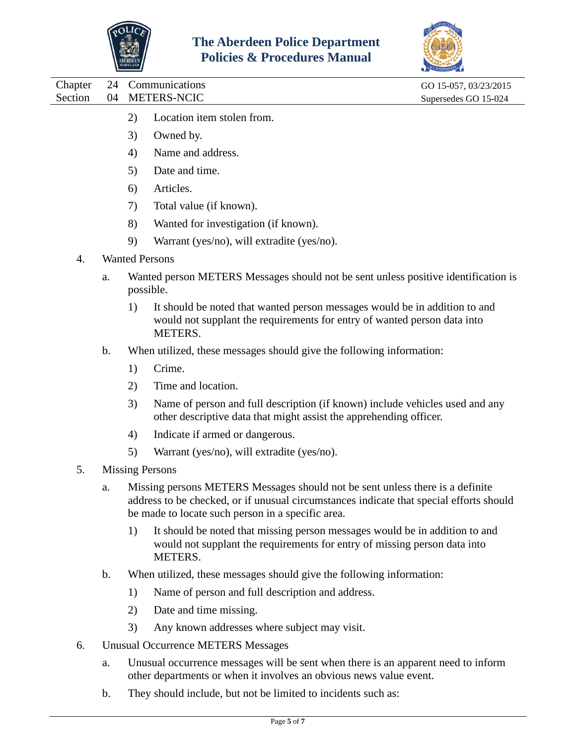



Chapter 24 Communications GO 15-057, 03/23/2015 Section 04 METERS-NCIC Supersedes GO 15-024 2) Location item stolen from. 3) Owned by. 4) Name and address. 5) Date and time. 6) Articles. 7) Total value (if known). 8) Wanted for investigation (if known). 9) Warrant (yes/no), will extradite (yes/no). 4. Wanted Persons a. Wanted person METERS Messages should not be sent unless positive identification is possible. 1) It should be noted that wanted person messages would be in addition to and would not supplant the requirements for entry of wanted person data into METERS. b. When utilized, these messages should give the following information: 1) Crime. 2) Time and location. 3) Name of person and full description (if known) include vehicles used and any other descriptive data that might assist the apprehending officer. 4) Indicate if armed or dangerous. 5) Warrant (yes/no), will extradite (yes/no). 5. Missing Persons a. Missing persons METERS Messages should not be sent unless there is a definite address to be checked, or if unusual circumstances indicate that special efforts should be made to locate such person in a specific area. 1) It should be noted that missing person messages would be in addition to and would not supplant the requirements for entry of missing person data into METERS. b. When utilized, these messages should give the following information: 1) Name of person and full description and address. 2) Date and time missing. 3) Any known addresses where subject may visit.

- 6. Unusual Occurrence METERS Messages
	- a. Unusual occurrence messages will be sent when there is an apparent need to inform other departments or when it involves an obvious news value event.
	- b. They should include, but not be limited to incidents such as: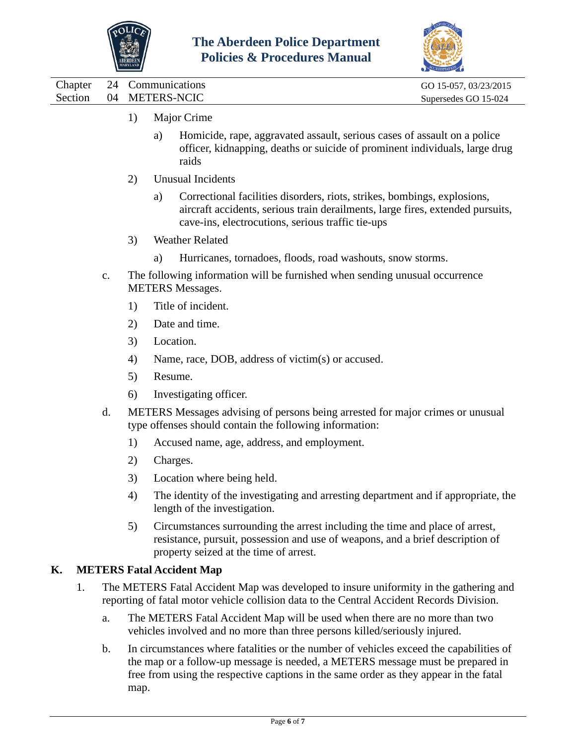



Chapter 24 Communications GO 15-057, 03/23/2015 Section 04 METERS-NCIC Supersedes GO 15-024

- 1) Major Crime
	- a) Homicide, rape, aggravated assault, serious cases of assault on a police officer, kidnapping, deaths or suicide of prominent individuals, large drug raids
- 2) Unusual Incidents
	- a) Correctional facilities disorders, riots, strikes, bombings, explosions, aircraft accidents, serious train derailments, large fires, extended pursuits, cave-ins, electrocutions, serious traffic tie-ups
- 3) Weather Related
	- a) Hurricanes, tornadoes, floods, road washouts, snow storms.
- c. The following information will be furnished when sending unusual occurrence METERS Messages.
	- 1) Title of incident.
	- 2) Date and time.
	- 3) Location.
	- 4) Name, race, DOB, address of victim(s) or accused.
	- 5) Resume.
	- 6) Investigating officer.
- d. METERS Messages advising of persons being arrested for major crimes or unusual type offenses should contain the following information:
	- 1) Accused name, age, address, and employment.
	- 2) Charges.
	- 3) Location where being held.
	- 4) The identity of the investigating and arresting department and if appropriate, the length of the investigation.
	- 5) Circumstances surrounding the arrest including the time and place of arrest, resistance, pursuit, possession and use of weapons, and a brief description of property seized at the time of arrest.

## **K. METERS Fatal Accident Map**

- 1. The METERS Fatal Accident Map was developed to insure uniformity in the gathering and reporting of fatal motor vehicle collision data to the Central Accident Records Division.
	- a. The METERS Fatal Accident Map will be used when there are no more than two vehicles involved and no more than three persons killed/seriously injured.
	- b. In circumstances where fatalities or the number of vehicles exceed the capabilities of the map or a follow-up message is needed, a METERS message must be prepared in free from using the respective captions in the same order as they appear in the fatal map.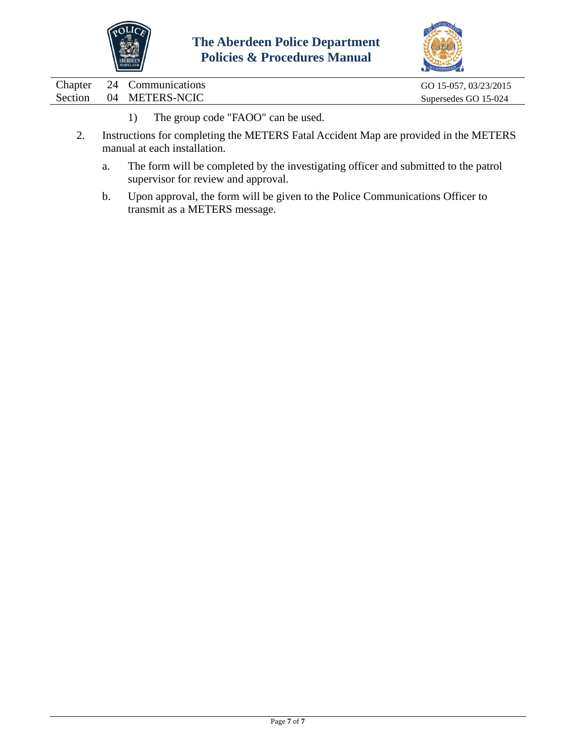



Chapter 24 Communications GO 15-057, 03/23/2015 Section 04 METERS-NCIC Supersedes GO 15-024

- 1) The group code "FAOO" can be used.
- 2. Instructions for completing the METERS Fatal Accident Map are provided in the METERS manual at each installation.
	- a. The form will be completed by the investigating officer and submitted to the patrol supervisor for review and approval.
	- b. Upon approval, the form will be given to the Police Communications Officer to transmit as a METERS message.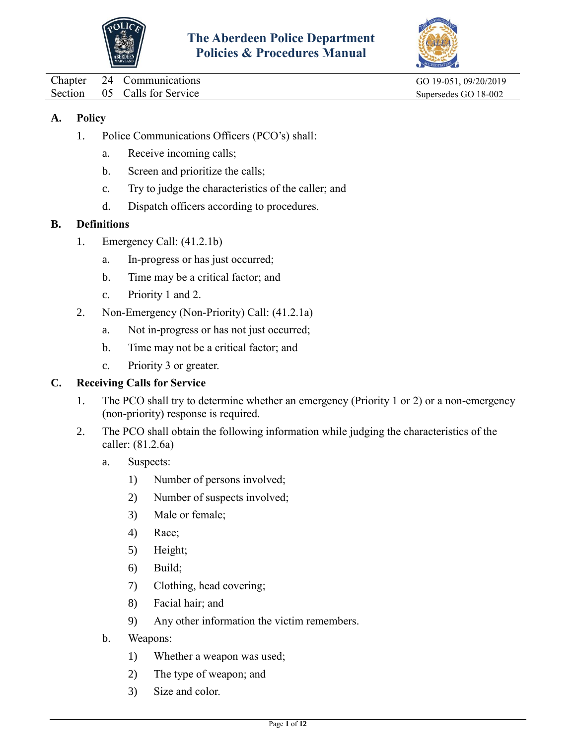



<span id="page-23-0"></span>Chapter 24 Communications GO 19-051, 09/20/2019

Section 05 Calls for Service Supersedes GO 18-002

## **A. Policy**

- 1. Police Communications Officers (PCO's) shall:
	- a. Receive incoming calls;
	- b. Screen and prioritize the calls;
	- c. Try to judge the characteristics of the caller; and
	- d. Dispatch officers according to procedures.

## **B. Definitions**

- 1. Emergency Call: (41.2.1b)
	- a. In-progress or has just occurred;
	- b. Time may be a critical factor; and
	- c. Priority 1 and 2.
- 2. Non-Emergency (Non-Priority) Call: (41.2.1a)
	- a. Not in-progress or has not just occurred;
	- b. Time may not be a critical factor; and
	- c. Priority 3 or greater.

## **C. Receiving Calls for Service**

- 1. The PCO shall try to determine whether an emergency (Priority 1 or 2) or a non-emergency (non-priority) response is required.
- 2. The PCO shall obtain the following information while judging the characteristics of the caller: (81.2.6a)
	- a. Suspects:
		- 1) Number of persons involved;
		- 2) Number of suspects involved;
		- 3) Male or female;
		- 4) Race;
		- 5) Height;
		- 6) Build;
		- 7) Clothing, head covering;
		- 8) Facial hair; and
		- 9) Any other information the victim remembers.
	- b. Weapons:
		- 1) Whether a weapon was used;
		- 2) The type of weapon; and
		- 3) Size and color.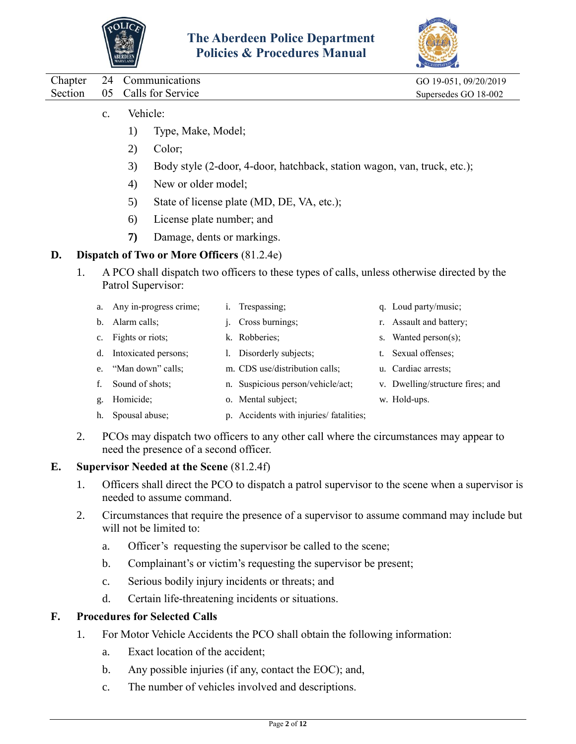



|             | Chapter 24 Communications                                  | GO 19-051, 09/20/2019 |
|-------------|------------------------------------------------------------|-----------------------|
|             | Section 05 Calls for Service                               | Supersedes GO 18-002  |
| $C_{\star}$ | Vehicle <sup>.</sup><br>Type, Make, Model;<br>$\mathbf{L}$ |                       |

- 2) Color;
- 3) Body style (2-door, 4-door, hatchback, station wagon, van, truck, etc.);
- 4) New or older model;
- 5) State of license plate (MD, DE, VA, etc.);
- 6) License plate number; and
- **7)** Damage, dents or markings.

#### **D. Dispatch of Two or More Officers** (81.2.4e)

- 1. A PCO shall dispatch two officers to these types of calls, unless otherwise directed by the Patrol Supervisor:
	- a. Any in-progress crime; b. Alarm calls; i. Trespassing; j. Cross burnings;
	- c. Fights or riots; k. Robberies;
	- d. Intoxicated persons; l. Disorderly subjects;
	- e. "Man down" calls; m. CDS use/distribution calls;
	- f. Sound of shots; n. Suspicious person/vehicle/act;
	- g. Homicide; o. Mental subject;
	- h. Spousal abuse; p. Accidents with injuries/ fatalities;
- q. Loud party/music;
- r. Assault and battery;
- s. Wanted person(s);
- t. Sexual offenses;
- u. Cardiac arrests;
- v. Dwelling/structure fires; and
- w. Hold-ups.
- 2. PCOs may dispatch two officers to any other call where the circumstances may appear to need the presence of a second officer.

## **E. Supervisor Needed at the Scene** (81.2.4f)

- 1. Officers shall direct the PCO to dispatch a patrol supervisor to the scene when a supervisor is needed to assume command.
- 2. Circumstances that require the presence of a supervisor to assume command may include but will not be limited to:
	- a. Officer's requesting the supervisor be called to the scene;
	- b. Complainant's or victim's requesting the supervisor be present;
	- c. Serious bodily injury incidents or threats; and
	- d. Certain life-threatening incidents or situations.

## **F. Procedures for Selected Calls**

- 1. For Motor Vehicle Accidents the PCO shall obtain the following information:
	- a. Exact location of the accident;
	- b. Any possible injuries (if any, contact the EOC); and,
	- c. The number of vehicles involved and descriptions.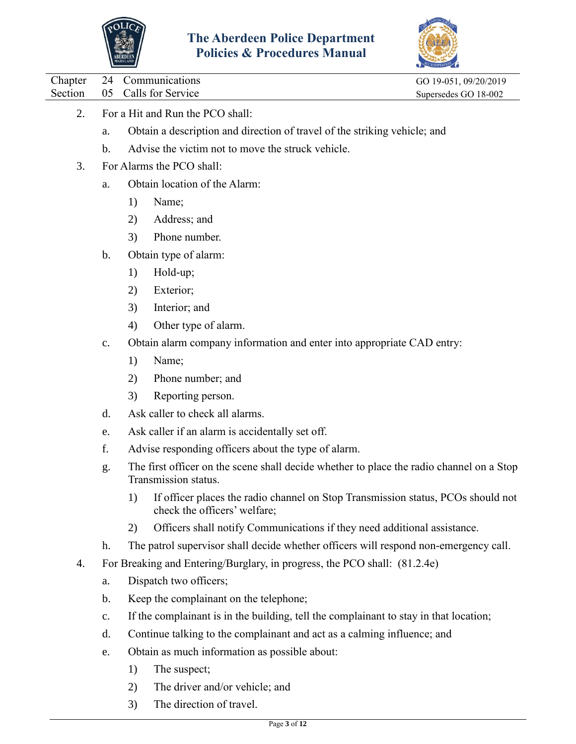



Chapter 24 Communications GO 19-051, 09/20/2019

Section 05 Calls for Service Supersedes GO 18-002

- 2. For a Hit and Run the PCO shall:
	- a. Obtain a description and direction of travel of the striking vehicle; and
	- b. Advise the victim not to move the struck vehicle.
- 3. For Alarms the PCO shall:
	- a. Obtain location of the Alarm:
		- 1) Name;
		- 2) Address; and
		- 3) Phone number.
	- b. Obtain type of alarm:
		- 1) Hold-up;
		- 2) Exterior;
		- 3) Interior; and
		- 4) Other type of alarm.
	- c. Obtain alarm company information and enter into appropriate CAD entry:
		- 1) Name;
		- 2) Phone number; and
		- 3) Reporting person.
	- d. Ask caller to check all alarms.
	- e. Ask caller if an alarm is accidentally set off.
	- f. Advise responding officers about the type of alarm.
	- g. The first officer on the scene shall decide whether to place the radio channel on a Stop Transmission status.
		- 1) If officer places the radio channel on Stop Transmission status, PCOs should not check the officers' welfare;
		- 2) Officers shall notify Communications if they need additional assistance.
	- h. The patrol supervisor shall decide whether officers will respond non-emergency call.
- 4. For Breaking and Entering/Burglary, in progress, the PCO shall: (81.2.4e)
	- a. Dispatch two officers;
	- b. Keep the complainant on the telephone;
	- c. If the complainant is in the building, tell the complainant to stay in that location;
	- d. Continue talking to the complainant and act as a calming influence; and
	- e. Obtain as much information as possible about:
		- 1) The suspect;
		- 2) The driver and/or vehicle; and
		- 3) The direction of travel.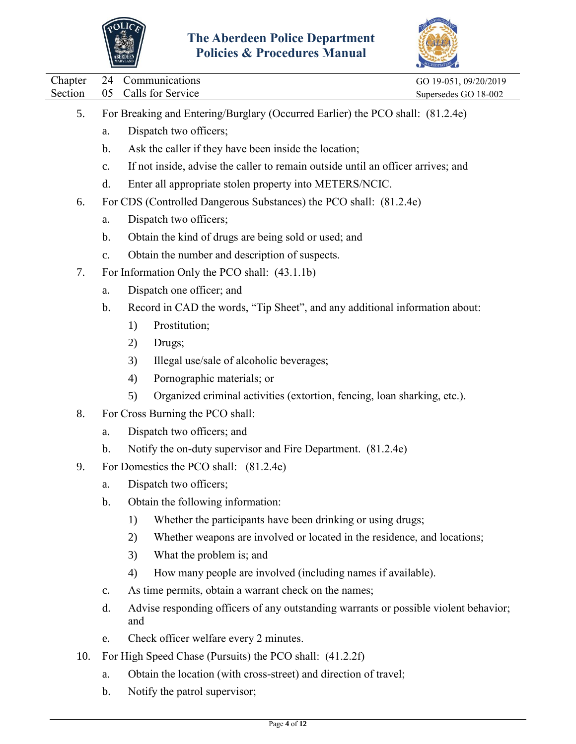



| Chapter | 24                                                                             | Communications                                                                              | GO 19-051, 09/20/2019 |  |  |
|---------|--------------------------------------------------------------------------------|---------------------------------------------------------------------------------------------|-----------------------|--|--|
| Section | 05                                                                             | Calls for Service                                                                           | Supersedes GO 18-002  |  |  |
| 5.      | For Breaking and Entering/Burglary (Occurred Earlier) the PCO shall: (81.2.4e) |                                                                                             |                       |  |  |
|         | a.                                                                             | Dispatch two officers;                                                                      |                       |  |  |
|         | b.                                                                             | Ask the caller if they have been inside the location;                                       |                       |  |  |
|         | c.                                                                             | If not inside, advise the caller to remain outside until an officer arrives; and            |                       |  |  |
|         | d.                                                                             | Enter all appropriate stolen property into METERS/NCIC.                                     |                       |  |  |
| 6.      |                                                                                | For CDS (Controlled Dangerous Substances) the PCO shall: (81.2.4e)                          |                       |  |  |
|         | a.                                                                             | Dispatch two officers;                                                                      |                       |  |  |
|         | b.                                                                             | Obtain the kind of drugs are being sold or used; and                                        |                       |  |  |
|         | c.                                                                             | Obtain the number and description of suspects.                                              |                       |  |  |
| 7.      |                                                                                | For Information Only the PCO shall: (43.1.1b)                                               |                       |  |  |
|         | a.                                                                             | Dispatch one officer; and                                                                   |                       |  |  |
|         | b.                                                                             | Record in CAD the words, "Tip Sheet", and any additional information about:                 |                       |  |  |
|         |                                                                                | Prostitution;<br>1)                                                                         |                       |  |  |
|         |                                                                                | Drugs;<br>2)                                                                                |                       |  |  |
|         |                                                                                | Illegal use/sale of alcoholic beverages;<br>3)                                              |                       |  |  |
|         |                                                                                | Pornographic materials; or<br>4)                                                            |                       |  |  |
|         |                                                                                | Organized criminal activities (extortion, fencing, loan sharking, etc.).<br>5)              |                       |  |  |
| 8.      |                                                                                | For Cross Burning the PCO shall:                                                            |                       |  |  |
|         | a.                                                                             | Dispatch two officers; and                                                                  |                       |  |  |
|         | $\mathbf b$ .                                                                  | Notify the on-duty supervisor and Fire Department. (81.2.4e)                                |                       |  |  |
| 9.      |                                                                                | For Domestics the PCO shall: (81.2.4e)                                                      |                       |  |  |
|         | a.                                                                             | Dispatch two officers;                                                                      |                       |  |  |
|         | $b$ .                                                                          | Obtain the following information:                                                           |                       |  |  |
|         |                                                                                | Whether the participants have been drinking or using drugs;<br>1)                           |                       |  |  |
|         |                                                                                | Whether weapons are involved or located in the residence, and locations;<br>2)              |                       |  |  |
|         |                                                                                | What the problem is; and<br>3)                                                              |                       |  |  |
|         |                                                                                | How many people are involved (including names if available).<br>4)                          |                       |  |  |
|         | $\mathbf{c}$ .                                                                 | As time permits, obtain a warrant check on the names;                                       |                       |  |  |
|         | d.                                                                             | Advise responding officers of any outstanding warrants or possible violent behavior;<br>and |                       |  |  |
|         | e.                                                                             | Check officer welfare every 2 minutes.                                                      |                       |  |  |
| 10.     |                                                                                | For High Speed Chase (Pursuits) the PCO shall: (41.2.2f)                                    |                       |  |  |
|         | ${\bf a}.$                                                                     | Obtain the location (with cross-street) and direction of travel;                            |                       |  |  |
|         | $b$ .                                                                          | Notify the patrol supervisor;                                                               |                       |  |  |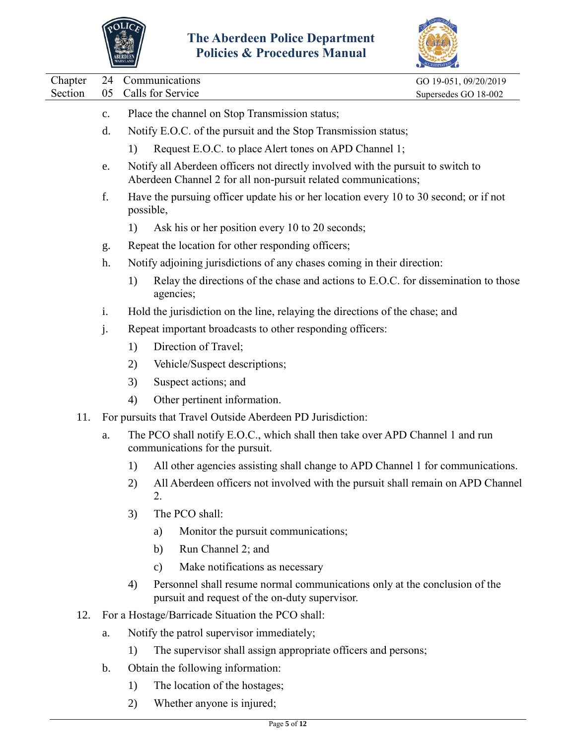



| Chapter | 24             |           |               | Communications                                                                                                                                     | GO 19-051, 09/20/2019 |
|---------|----------------|-----------|---------------|----------------------------------------------------------------------------------------------------------------------------------------------------|-----------------------|
| Section | 05             |           |               | Calls for Service                                                                                                                                  | Supersedes GO 18-002  |
|         | $\mathbf{c}$ . |           |               | Place the channel on Stop Transmission status;                                                                                                     |                       |
|         | d.             |           |               | Notify E.O.C. of the pursuit and the Stop Transmission status;                                                                                     |                       |
|         |                | 1)        |               | Request E.O.C. to place Alert tones on APD Channel 1;                                                                                              |                       |
|         | e.             |           |               | Notify all Aberdeen officers not directly involved with the pursuit to switch to<br>Aberdeen Channel 2 for all non-pursuit related communications; |                       |
|         | f.             | possible, |               | Have the pursuing officer update his or her location every 10 to 30 second; or if not                                                              |                       |
|         |                | 1)        |               | Ask his or her position every 10 to 20 seconds;                                                                                                    |                       |
|         | g.             |           |               | Repeat the location for other responding officers;                                                                                                 |                       |
|         | h.             |           |               | Notify adjoining jurisdictions of any chases coming in their direction:                                                                            |                       |
|         |                | 1)        |               | Relay the directions of the chase and actions to E.O.C. for dissemination to those<br>agencies;                                                    |                       |
|         | i.             |           |               | Hold the jurisdiction on the line, relaying the directions of the chase; and                                                                       |                       |
|         | j.             |           |               | Repeat important broadcasts to other responding officers:                                                                                          |                       |
|         |                | 1)        |               | Direction of Travel;                                                                                                                               |                       |
|         |                | 2)        |               | Vehicle/Suspect descriptions;                                                                                                                      |                       |
|         |                | 3)        |               | Suspect actions; and                                                                                                                               |                       |
|         |                | 4)        |               | Other pertinent information.                                                                                                                       |                       |
| 11.     |                |           |               | For pursuits that Travel Outside Aberdeen PD Jurisdiction:                                                                                         |                       |
|         | a.             |           |               | The PCO shall notify E.O.C., which shall then take over APD Channel 1 and run<br>communications for the pursuit.                                   |                       |
|         |                | 1)        |               | All other agencies assisting shall change to APD Channel 1 for communications.                                                                     |                       |
|         |                | 2)        | 2.            | All Aberdeen officers not involved with the pursuit shall remain on APD Channel                                                                    |                       |
|         |                | 3)        |               | The PCO shall:                                                                                                                                     |                       |
|         |                |           | a)            | Monitor the pursuit communications;                                                                                                                |                       |
|         |                |           | b)            | Run Channel 2; and                                                                                                                                 |                       |
|         |                |           | $\mathbf{c})$ | Make notifications as necessary                                                                                                                    |                       |
|         |                | 4)        |               | Personnel shall resume normal communications only at the conclusion of the<br>pursuit and request of the on-duty supervisor.                       |                       |
| 12.     |                |           |               | For a Hostage/Barricade Situation the PCO shall:                                                                                                   |                       |
|         | a.             |           |               | Notify the patrol supervisor immediately;                                                                                                          |                       |
|         |                | 1)        |               | The supervisor shall assign appropriate officers and persons;                                                                                      |                       |
|         | $\mathbf b$ .  |           |               | Obtain the following information:                                                                                                                  |                       |
|         |                |           |               |                                                                                                                                                    |                       |

- 1) The location of the hostages;
- 2) Whether anyone is injured;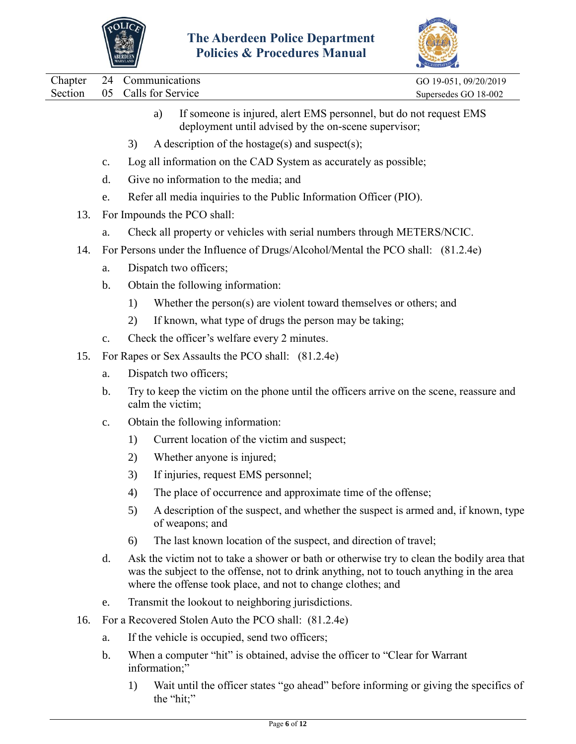



|  | Chapter 24 Communications    | GO 19-051, 09/20/2019 |
|--|------------------------------|-----------------------|
|  | Section 05 Calls for Service | Supersedes GO 18-002  |
|  |                              |                       |

- a) If someone is injured, alert EMS personnel, but do not request EMS deployment until advised by the on-scene supervisor;
- 3) A description of the hostage(s) and suspect(s);
- c. Log all information on the CAD System as accurately as possible;
- d. Give no information to the media; and
- e. Refer all media inquiries to the Public Information Officer (PIO).
- 13. For Impounds the PCO shall:
	- a. Check all property or vehicles with serial numbers through METERS/NCIC.
- 14. For Persons under the Influence of Drugs/Alcohol/Mental the PCO shall: (81.2.4e)
	- a. Dispatch two officers;
	- b. Obtain the following information:
		- 1) Whether the person(s) are violent toward themselves or others; and
		- 2) If known, what type of drugs the person may be taking;
	- c. Check the officer's welfare every 2 minutes.
- 15. For Rapes or Sex Assaults the PCO shall: (81.2.4e)
	- a. Dispatch two officers;
	- b. Try to keep the victim on the phone until the officers arrive on the scene, reassure and calm the victim;
	- c. Obtain the following information:
		- 1) Current location of the victim and suspect;
		- 2) Whether anyone is injured;
		- 3) If injuries, request EMS personnel;
		- 4) The place of occurrence and approximate time of the offense;
		- 5) A description of the suspect, and whether the suspect is armed and, if known, type of weapons; and
		- 6) The last known location of the suspect, and direction of travel;
	- d. Ask the victim not to take a shower or bath or otherwise try to clean the bodily area that was the subject to the offense, not to drink anything, not to touch anything in the area where the offense took place, and not to change clothes; and
	- e. Transmit the lookout to neighboring jurisdictions.
- 16. For a Recovered Stolen Auto the PCO shall: (81.2.4e)
	- a. If the vehicle is occupied, send two officers;
	- b. When a computer "hit" is obtained, advise the officer to "Clear for Warrant information;"
		- 1) Wait until the officer states "go ahead" before informing or giving the specifics of the "hit;"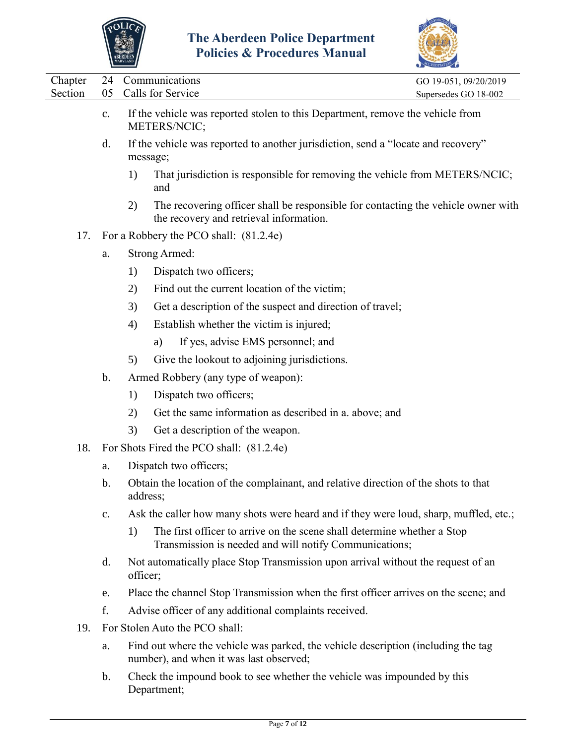



|                    |                |                                                                                                                                         | <b>COREDITATION</b>                           |
|--------------------|----------------|-----------------------------------------------------------------------------------------------------------------------------------------|-----------------------------------------------|
| Chapter<br>Section | 24<br>05       | Communications<br>Calls for Service                                                                                                     | GO 19-051, 09/20/2019<br>Supersedes GO 18-002 |
|                    | c.             | If the vehicle was reported stolen to this Department, remove the vehicle from<br>METERS/NCIC;                                          |                                               |
|                    | $\mathbf{d}$ . | If the vehicle was reported to another jurisdiction, send a "locate and recovery"<br>message;                                           |                                               |
|                    |                | That jurisdiction is responsible for removing the vehicle from METERS/NCIC;<br>1)<br>and                                                |                                               |
|                    |                | The recovering officer shall be responsible for contacting the vehicle owner with<br>2)<br>the recovery and retrieval information.      |                                               |
| 17.                |                | For a Robbery the PCO shall: (81.2.4e)                                                                                                  |                                               |
|                    | a.             | <b>Strong Armed:</b>                                                                                                                    |                                               |
|                    |                | Dispatch two officers;<br>1)                                                                                                            |                                               |
|                    |                | Find out the current location of the victim;<br>2)                                                                                      |                                               |
|                    |                | Get a description of the suspect and direction of travel;<br>3)                                                                         |                                               |
|                    |                | 4)<br>Establish whether the victim is injured;                                                                                          |                                               |
|                    |                | If yes, advise EMS personnel; and<br>a)                                                                                                 |                                               |
|                    |                | Give the lookout to adjoining jurisdictions.<br>5)                                                                                      |                                               |
|                    | $\mathbf b$ .  | Armed Robbery (any type of weapon):                                                                                                     |                                               |
|                    |                | Dispatch two officers;<br>1)                                                                                                            |                                               |
|                    |                | Get the same information as described in a. above; and<br>2)                                                                            |                                               |
|                    |                | 3)<br>Get a description of the weapon.                                                                                                  |                                               |
| 18.                |                | For Shots Fired the PCO shall: (81.2.4e)                                                                                                |                                               |
|                    | a.             | Dispatch two officers;                                                                                                                  |                                               |
|                    | b.             | Obtain the location of the complainant, and relative direction of the shots to that<br>address;                                         |                                               |
|                    | c.             | Ask the caller how many shots were heard and if they were loud, sharp, muffled, etc.;                                                   |                                               |
|                    |                | The first officer to arrive on the scene shall determine whether a Stop<br>1)<br>Transmission is needed and will notify Communications; |                                               |
|                    | $\mathbf{d}$ . | Not automatically place Stop Transmission upon arrival without the request of an<br>officer;                                            |                                               |
|                    | e.             | Place the channel Stop Transmission when the first officer arrives on the scene; and                                                    |                                               |
|                    | f.             | Advise officer of any additional complaints received.                                                                                   |                                               |
| 19.                |                | For Stolen Auto the PCO shall:                                                                                                          |                                               |
|                    | a.             | Find out where the vehicle was parked, the vehicle description (including the tag<br>number), and when it was last observed;            |                                               |
|                    | b.             | Check the impound book to see whether the vehicle was impounded by this<br>Department;                                                  |                                               |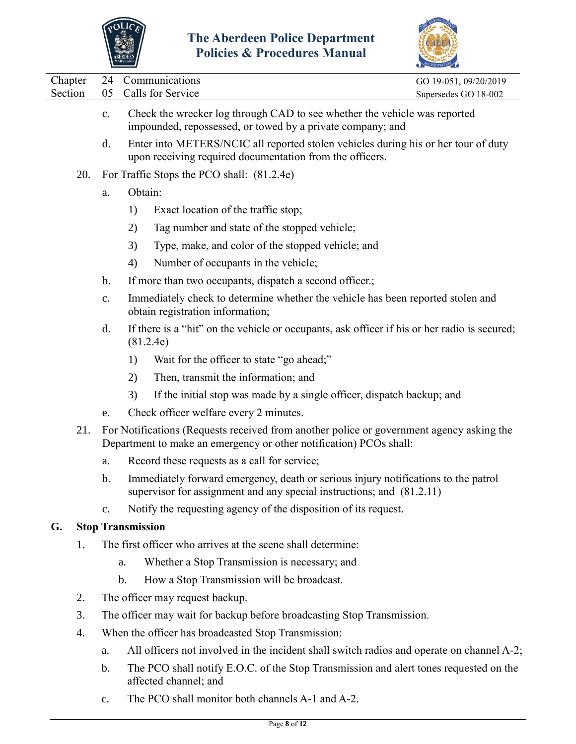



|                    |                | ABERDEEN<br>maryland     | I UNCRS & I TUCCUUTES MIANUAI                                                                                                                                  |                                               |
|--------------------|----------------|--------------------------|----------------------------------------------------------------------------------------------------------------------------------------------------------------|-----------------------------------------------|
| Chapter<br>Section | 24<br>05       |                          | Communications<br>Calls for Service                                                                                                                            | GO 19-051, 09/20/2019<br>Supersedes GO 18-002 |
|                    | $\mathbf{c}$ . |                          | Check the wrecker log through CAD to see whether the vehicle was reported<br>impounded, repossessed, or towed by a private company; and                        |                                               |
|                    | d.             |                          | Enter into METERS/NCIC all reported stolen vehicles during his or her tour of duty<br>upon receiving required documentation from the officers.                 |                                               |
| 20.                |                |                          | For Traffic Stops the PCO shall: (81.2.4e)                                                                                                                     |                                               |
|                    | a.             | Obtain:                  |                                                                                                                                                                |                                               |
|                    |                | 1)                       | Exact location of the traffic stop;                                                                                                                            |                                               |
|                    |                | 2)                       | Tag number and state of the stopped vehicle;                                                                                                                   |                                               |
|                    |                | 3)                       | Type, make, and color of the stopped vehicle; and                                                                                                              |                                               |
|                    |                | 4)                       | Number of occupants in the vehicle;                                                                                                                            |                                               |
|                    | $\mathbf{b}$ . |                          | If more than two occupants, dispatch a second officer.;                                                                                                        |                                               |
|                    | $C_{\bullet}$  |                          | Immediately check to determine whether the vehicle has been reported stolen and<br>obtain registration information;                                            |                                               |
|                    | d.             |                          | If there is a "hit" on the vehicle or occupants, ask officer if his or her radio is secured;<br>(81.2.4e)                                                      |                                               |
|                    |                | 1)                       | Wait for the officer to state "go ahead;"                                                                                                                      |                                               |
|                    |                | 2)                       | Then, transmit the information; and                                                                                                                            |                                               |
|                    |                | 3)                       | If the initial stop was made by a single officer, dispatch backup; and                                                                                         |                                               |
|                    | e.             |                          | Check officer welfare every 2 minutes.                                                                                                                         |                                               |
| 21.                |                |                          | For Notifications (Requests received from another police or government agency asking the<br>Department to make an emergency or other notification) PCOs shall: |                                               |
|                    | a.             |                          | Record these requests as a call for service;                                                                                                                   |                                               |
|                    | $b$ .          |                          | Immediately forward emergency, death or serious injury notifications to the patrol<br>supervisor for assignment and any special instructions; and (81.2.11)    |                                               |
|                    | c.             |                          | Notify the requesting agency of the disposition of its request.                                                                                                |                                               |
| G.                 |                | <b>Stop Transmission</b> |                                                                                                                                                                |                                               |
| 1.                 |                |                          | The first officer who arrives at the scene shall determine:                                                                                                    |                                               |
|                    |                | a.                       | Whether a Stop Transmission is necessary; and                                                                                                                  |                                               |
|                    |                | b.                       | How a Stop Transmission will be broadcast.                                                                                                                     |                                               |
| 2.                 |                |                          | The officer may request backup.                                                                                                                                |                                               |
| 3.                 |                |                          | The officer may wait for backup before broadcasting Stop Transmission.                                                                                         |                                               |
| 4.                 |                |                          | When the officer has broadcasted Stop Transmission:                                                                                                            |                                               |
|                    | a.             |                          | All officers not involved in the incident shall switch radios and operate on channel A-2;                                                                      |                                               |
|                    |                |                          |                                                                                                                                                                |                                               |

- b. The PCO shall notify E.O.C. of the Stop Transmission and alert tones requested on the affected channel; and
- c. The PCO shall monitor both channels A-1 and A-2.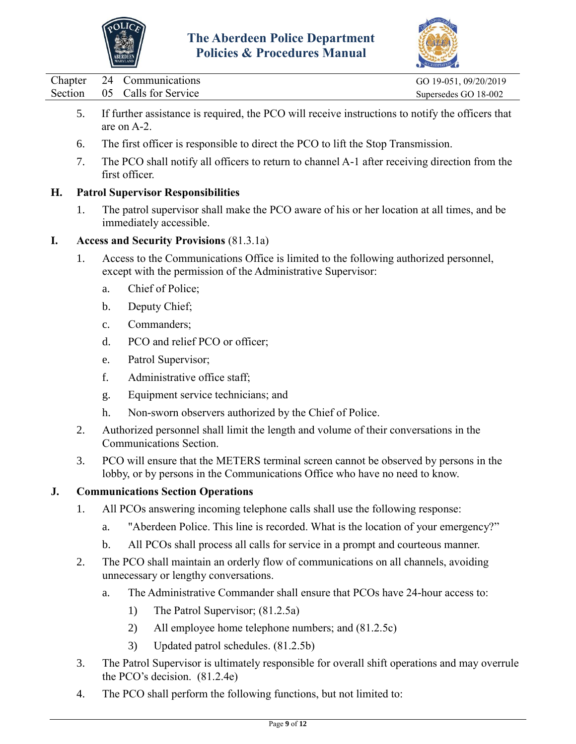



|         |    | MARYLAND                                                                                                        | ACCREDITATION         |
|---------|----|-----------------------------------------------------------------------------------------------------------------|-----------------------|
| Chapter |    | 24 Communications                                                                                               | GO 19-051, 09/20/2019 |
| Section |    | 05 Calls for Service                                                                                            | Supersedes GO 18-002  |
|         | 5. | If further assistance is required, the PCO will receive instructions to notify the officers that<br>are on A-2. |                       |
|         | 6. | The first officer is responsible to direct the PCO to lift the Stop Transmission.                               |                       |
|         | 7. | The PCO shall notify all officers to return to channel A-1 after receiving direction from the<br>first officer. |                       |
| Н.      |    | <b>Patrol Supervisor Responsibilities</b>                                                                       |                       |

1. The patrol supervisor shall make the PCO aware of his or her location at all times, and be immediately accessible.

## **I. Access and Security Provisions** (81.3.1a)

- 1. Access to the Communications Office is limited to the following authorized personnel, except with the permission of the Administrative Supervisor:
	- a. Chief of Police;
	- b. Deputy Chief;
	- c. Commanders;
	- d. PCO and relief PCO or officer;
	- e. Patrol Supervisor;
	- f. Administrative office staff;
	- g. Equipment service technicians; and
	- h. Non-sworn observers authorized by the Chief of Police.
- 2. Authorized personnel shall limit the length and volume of their conversations in the Communications Section.
- 3. PCO will ensure that the METERS terminal screen cannot be observed by persons in the lobby, or by persons in the Communications Office who have no need to know.

## **J. Communications Section Operations**

- 1. All PCOs answering incoming telephone calls shall use the following response:
	- a. "Aberdeen Police. This line is recorded. What is the location of your emergency?"
	- b. All PCOs shall process all calls for service in a prompt and courteous manner.
- 2. The PCO shall maintain an orderly flow of communications on all channels, avoiding unnecessary or lengthy conversations.
	- a. The Administrative Commander shall ensure that PCOs have 24-hour access to:
		- 1) The Patrol Supervisor; (81.2.5a)
		- 2) All employee home telephone numbers; and (81.2.5c)
		- 3) Updated patrol schedules. (81.2.5b)
- 3. The Patrol Supervisor is ultimately responsible for overall shift operations and may overrule the PCO's decision. (81.2.4e)
- 4. The PCO shall perform the following functions, but not limited to: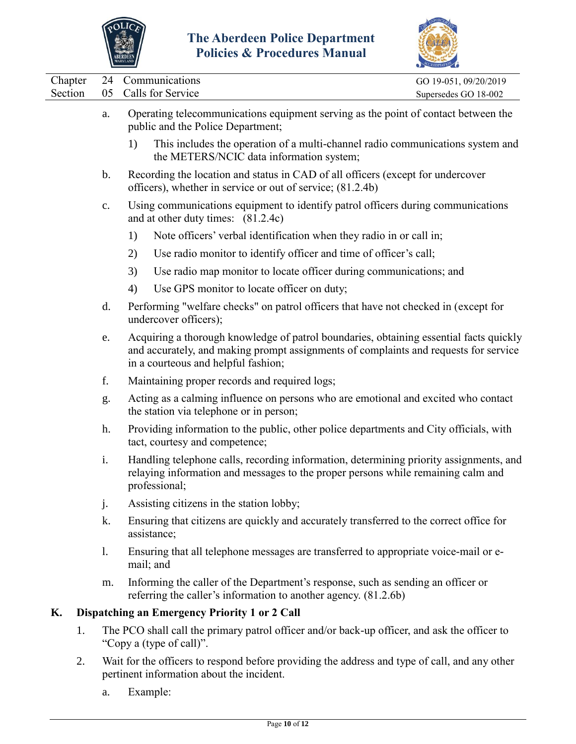



|                    |    |               |                                                                                                                                                                                                                       | $\sim$                                        |
|--------------------|----|---------------|-----------------------------------------------------------------------------------------------------------------------------------------------------------------------------------------------------------------------|-----------------------------------------------|
| Chapter<br>Section |    | 24<br>05      | Communications<br>Calls for Service                                                                                                                                                                                   | GO 19-051, 09/20/2019<br>Supersedes GO 18-002 |
|                    |    | a.            | Operating telecommunications equipment serving as the point of contact between the<br>public and the Police Department;                                                                                               |                                               |
|                    |    |               | This includes the operation of a multi-channel radio communications system and<br>1)<br>the METERS/NCIC data information system;                                                                                      |                                               |
|                    |    | $\mathbf b$ . | Recording the location and status in CAD of all officers (except for undercover<br>officers), whether in service or out of service; (81.2.4b)                                                                         |                                               |
|                    |    | $\mathbf{c}.$ | Using communications equipment to identify patrol officers during communications<br>and at other duty times: (81.2.4c)                                                                                                |                                               |
|                    |    |               | Note officers' verbal identification when they radio in or call in;<br>1)                                                                                                                                             |                                               |
|                    |    |               | Use radio monitor to identify officer and time of officer's call;<br>2)                                                                                                                                               |                                               |
|                    |    |               | 3)<br>Use radio map monitor to locate officer during communications; and                                                                                                                                              |                                               |
|                    |    |               | Use GPS monitor to locate officer on duty;<br>4)                                                                                                                                                                      |                                               |
|                    |    | d.            | Performing "welfare checks" on patrol officers that have not checked in (except for<br>undercover officers);                                                                                                          |                                               |
|                    |    | e.            | Acquiring a thorough knowledge of patrol boundaries, obtaining essential facts quickly<br>and accurately, and making prompt assignments of complaints and requests for service<br>in a courteous and helpful fashion; |                                               |
|                    |    | f.            | Maintaining proper records and required logs;                                                                                                                                                                         |                                               |
|                    |    | g.            | Acting as a calming influence on persons who are emotional and excited who contact<br>the station via telephone or in person;                                                                                         |                                               |
|                    |    | h.            | Providing information to the public, other police departments and City officials, with<br>tact, courtesy and competence;                                                                                              |                                               |
|                    |    | i.            | Handling telephone calls, recording information, determining priority assignments, and<br>relaying information and messages to the proper persons while remaining calm and<br>professional;                           |                                               |
|                    |    | j.            | Assisting citizens in the station lobby;                                                                                                                                                                              |                                               |
|                    |    | k.            | Ensuring that citizens are quickly and accurately transferred to the correct office for<br>assistance;                                                                                                                |                                               |
|                    |    | 1.            | Ensuring that all telephone messages are transferred to appropriate voice-mail or e-<br>mail; and                                                                                                                     |                                               |
|                    |    | m.            | Informing the caller of the Department's response, such as sending an officer or<br>referring the caller's information to another agency. (81.2.6b)                                                                   |                                               |
| Κ.                 |    |               | Dispatching an Emergency Priority 1 or 2 Call                                                                                                                                                                         |                                               |
|                    | 1. |               | The PCO shall call the primary patrol officer and/or back-up officer, and ask the officer to<br>"Copy a (type of call)".                                                                                              |                                               |
|                    | 2. |               | Wait for the officers to respond before providing the address and type of call, and any other                                                                                                                         |                                               |

- 2. Wait for the officers to respond before providing the address and type of call, and any other pertinent information about the incident.
	- a. Example: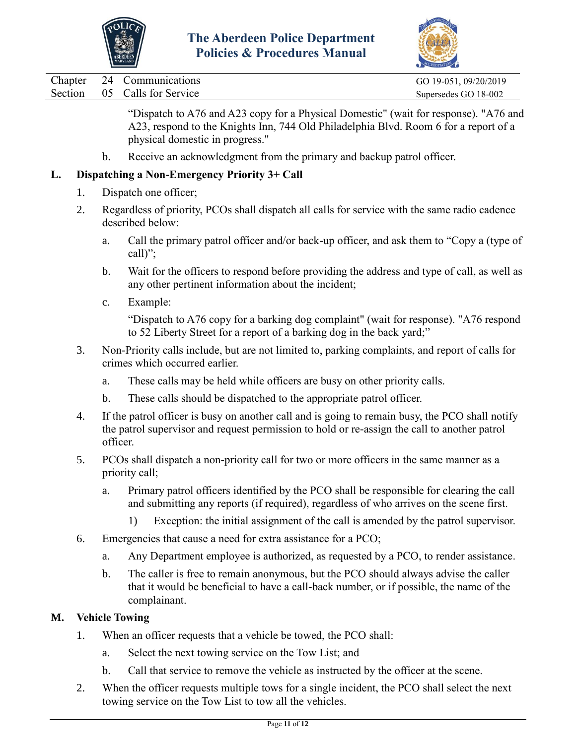



Chapter 24 Communications GO 19-051, 09/20/2019

Section 05 Calls for Service Supersedes GO 18-002

"Dispatch to A76 and A23 copy for a Physical Domestic" (wait for response). "A76 and A23, respond to the Knights Inn, 744 Old Philadelphia Blvd. Room 6 for a report of a physical domestic in progress."

b. Receive an acknowledgment from the primary and backup patrol officer.

# **L. Dispatching a Non-Emergency Priority 3+ Call**

- 1. Dispatch one officer;
- 2. Regardless of priority, PCOs shall dispatch all calls for service with the same radio cadence described below:
	- a. Call the primary patrol officer and/or back-up officer, and ask them to "Copy a (type of call)";
	- b. Wait for the officers to respond before providing the address and type of call, as well as any other pertinent information about the incident;
	- c. Example:

"Dispatch to A76 copy for a barking dog complaint" (wait for response). "A76 respond to 52 Liberty Street for a report of a barking dog in the back yard;"

- 3. Non-Priority calls include, but are not limited to, parking complaints, and report of calls for crimes which occurred earlier.
	- a. These calls may be held while officers are busy on other priority calls.
	- b. These calls should be dispatched to the appropriate patrol officer.
- 4. If the patrol officer is busy on another call and is going to remain busy, the PCO shall notify the patrol supervisor and request permission to hold or re-assign the call to another patrol officer.
- 5. PCOs shall dispatch a non-priority call for two or more officers in the same manner as a priority call;
	- a. Primary patrol officers identified by the PCO shall be responsible for clearing the call and submitting any reports (if required), regardless of who arrives on the scene first.
		- 1) Exception: the initial assignment of the call is amended by the patrol supervisor.
- 6. Emergencies that cause a need for extra assistance for a PCO;
	- a. Any Department employee is authorized, as requested by a PCO, to render assistance.
	- b. The caller is free to remain anonymous, but the PCO should always advise the caller that it would be beneficial to have a call-back number, or if possible, the name of the complainant.

# **M. Vehicle Towing**

- 1. When an officer requests that a vehicle be towed, the PCO shall:
	- a. Select the next towing service on the Tow List; and
	- b. Call that service to remove the vehicle as instructed by the officer at the scene.
- 2. When the officer requests multiple tows for a single incident, the PCO shall select the next towing service on the Tow List to tow all the vehicles.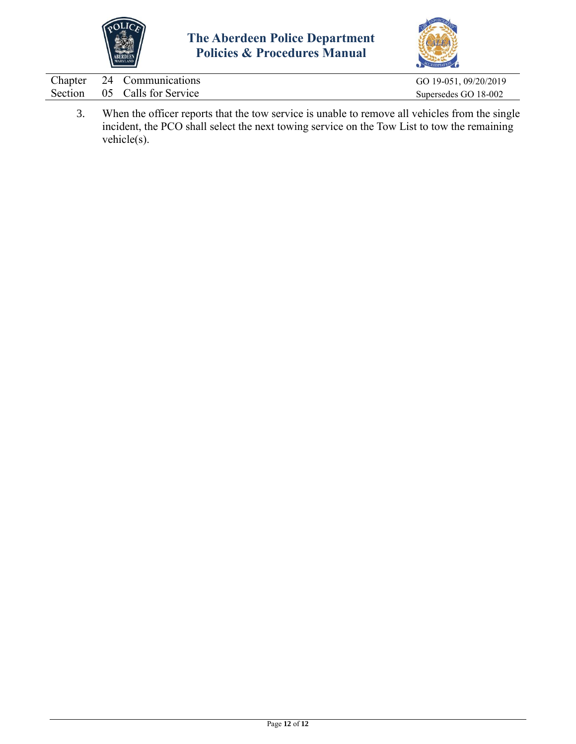



|  | Chapter 24 Communications    | GO 19-051, 09/20/2019 |
|--|------------------------------|-----------------------|
|  | Section 05 Calls for Service | Supersedes GO 18-002  |
|  |                              |                       |

3. When the officer reports that the tow service is unable to remove all vehicles from the single incident, the PCO shall select the next towing service on the Tow List to tow the remaining vehicle(s).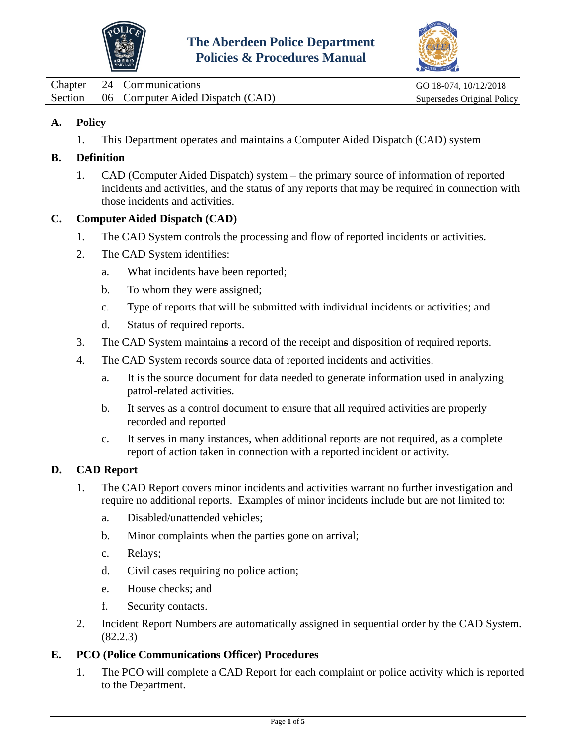



<span id="page-35-0"></span>Chapter 24 Communications GO 18-074, 10/12/2018 Section 06 Computer Aided Dispatch (CAD) Supersedes Original Policy

## **A. Policy**

1. This Department operates and maintains a Computer Aided Dispatch (CAD) system

## **B. Definition**

1. CAD (Computer Aided Dispatch) system – the primary source of information of reported incidents and activities, and the status of any reports that may be required in connection with those incidents and activities.

## **C. Computer Aided Dispatch (CAD)**

- 1. The CAD System controls the processing and flow of reported incidents or activities.
- 2. The CAD System identifies:
	- a. What incidents have been reported;
	- b. To whom they were assigned;
	- c. Type of reports that will be submitted with individual incidents or activities; and
	- d. Status of required reports.
- 3. The CAD System maintains a record of the receipt and disposition of required reports.
- 4. The CAD System records source data of reported incidents and activities.
	- a. It is the source document for data needed to generate information used in analyzing patrol-related activities.
	- b. It serves as a control document to ensure that all required activities are properly recorded and reported
	- c. It serves in many instances, when additional reports are not required, as a complete report of action taken in connection with a reported incident or activity.

## **D. CAD Report**

- 1. The CAD Report covers minor incidents and activities warrant no further investigation and require no additional reports. Examples of minor incidents include but are not limited to:
	- a. Disabled/unattended vehicles;
	- b. Minor complaints when the parties gone on arrival;
	- c. Relays;
	- d. Civil cases requiring no police action;
	- e. House checks; and
	- f. Security contacts.
- 2. Incident Report Numbers are automatically assigned in sequential order by the CAD System. (82.2.3)

## **E. PCO (Police Communications Officer) Procedures**

1. The PCO will complete a CAD Report for each complaint or police activity which is reported to the Department.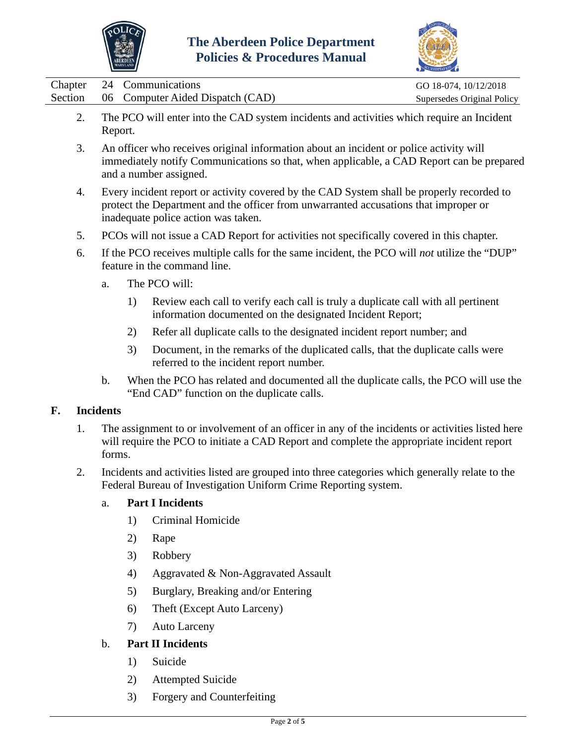



|                    |                                                                                                                                                                                                                          |                                                                                                      |                                                                                                                                                                                                | CREDITATION C                                       |  |  |  |
|--------------------|--------------------------------------------------------------------------------------------------------------------------------------------------------------------------------------------------------------------------|------------------------------------------------------------------------------------------------------|------------------------------------------------------------------------------------------------------------------------------------------------------------------------------------------------|-----------------------------------------------------|--|--|--|
| Chapter<br>Section | 24<br>06                                                                                                                                                                                                                 |                                                                                                      | Communications<br>Computer Aided Dispatch (CAD)                                                                                                                                                | GO 18-074, 10/12/2018<br>Supersedes Original Policy |  |  |  |
| 2.                 |                                                                                                                                                                                                                          | The PCO will enter into the CAD system incidents and activities which require an Incident<br>Report. |                                                                                                                                                                                                |                                                     |  |  |  |
| 3.                 | An officer who receives original information about an incident or police activity will<br>immediately notify Communications so that, when applicable, a CAD Report can be prepared<br>and a number assigned.             |                                                                                                      |                                                                                                                                                                                                |                                                     |  |  |  |
| 4.                 | Every incident report or activity covered by the CAD System shall be properly recorded to<br>protect the Department and the officer from unwarranted accusations that improper or<br>inadequate police action was taken. |                                                                                                      |                                                                                                                                                                                                |                                                     |  |  |  |
| 5.                 |                                                                                                                                                                                                                          |                                                                                                      | PCOs will not issue a CAD Report for activities not specifically covered in this chapter.                                                                                                      |                                                     |  |  |  |
| 6.                 |                                                                                                                                                                                                                          |                                                                                                      | If the PCO receives multiple calls for the same incident, the PCO will <i>not</i> utilize the "DUP"<br>feature in the command line.                                                            |                                                     |  |  |  |
|                    | a.                                                                                                                                                                                                                       |                                                                                                      | The PCO will:                                                                                                                                                                                  |                                                     |  |  |  |
|                    |                                                                                                                                                                                                                          | 1)                                                                                                   | Review each call to verify each call is truly a duplicate call with all pertinent<br>information documented on the designated Incident Report;                                                 |                                                     |  |  |  |
|                    |                                                                                                                                                                                                                          | 2)                                                                                                   | Refer all duplicate calls to the designated incident report number; and                                                                                                                        |                                                     |  |  |  |
|                    |                                                                                                                                                                                                                          | 3)                                                                                                   | Document, in the remarks of the duplicated calls, that the duplicate calls were<br>referred to the incident report number.                                                                     |                                                     |  |  |  |
|                    | b.                                                                                                                                                                                                                       |                                                                                                      | When the PCO has related and documented all the duplicate calls, the PCO will use the<br>"End CAD" function on the duplicate calls.                                                            |                                                     |  |  |  |
| F.                 | <b>Incidents</b>                                                                                                                                                                                                         |                                                                                                      |                                                                                                                                                                                                |                                                     |  |  |  |
| 1.                 | forms.                                                                                                                                                                                                                   |                                                                                                      | The assignment to or involvement of an officer in any of the incidents or activities listed here<br>will require the PCO to initiate a CAD Report and complete the appropriate incident report |                                                     |  |  |  |
| 2.                 |                                                                                                                                                                                                                          |                                                                                                      | Incidents and activities listed are grouped into three categories which generally relate to the<br>Federal Bureau of Investigation Uniform Crime Reporting system.                             |                                                     |  |  |  |
|                    | a.                                                                                                                                                                                                                       |                                                                                                      | <b>Part I Incidents</b>                                                                                                                                                                        |                                                     |  |  |  |
|                    |                                                                                                                                                                                                                          | 1)                                                                                                   | <b>Criminal Homicide</b>                                                                                                                                                                       |                                                     |  |  |  |
|                    |                                                                                                                                                                                                                          | 2)                                                                                                   | Rape                                                                                                                                                                                           |                                                     |  |  |  |
|                    |                                                                                                                                                                                                                          | 3)                                                                                                   | Robbery                                                                                                                                                                                        |                                                     |  |  |  |
|                    |                                                                                                                                                                                                                          | 4)                                                                                                   | Aggravated & Non-Aggravated Assault                                                                                                                                                            |                                                     |  |  |  |
|                    |                                                                                                                                                                                                                          | 5)                                                                                                   | Burglary, Breaking and/or Entering                                                                                                                                                             |                                                     |  |  |  |
|                    |                                                                                                                                                                                                                          | 6)                                                                                                   | Theft (Except Auto Larceny)                                                                                                                                                                    |                                                     |  |  |  |

7) Auto Larceny

# b. **Part II Incidents**

- 1) Suicide
- 2) Attempted Suicide
- 3) Forgery and Counterfeiting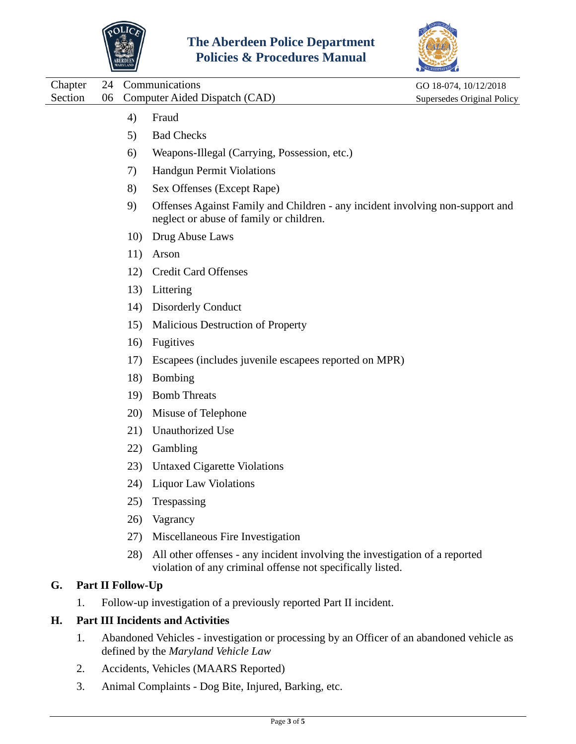



|         |                          |     |                                                                                                                                           | CCREDITATION               |
|---------|--------------------------|-----|-------------------------------------------------------------------------------------------------------------------------------------------|----------------------------|
| Chapter | 24                       |     | Communications                                                                                                                            | GO 18-074, 10/12/2018      |
| Section | 06                       |     | Computer Aided Dispatch (CAD)                                                                                                             | Supersedes Original Policy |
|         |                          | 4)  | Fraud                                                                                                                                     |                            |
|         |                          | 5)  | <b>Bad Checks</b>                                                                                                                         |                            |
|         |                          | 6)  | Weapons-Illegal (Carrying, Possession, etc.)                                                                                              |                            |
|         |                          | 7)  | <b>Handgun Permit Violations</b>                                                                                                          |                            |
|         |                          | 8)  | Sex Offenses (Except Rape)                                                                                                                |                            |
|         |                          | 9)  | Offenses Against Family and Children - any incident involving non-support and<br>neglect or abuse of family or children.                  |                            |
|         |                          | 10) | Drug Abuse Laws                                                                                                                           |                            |
|         |                          | 11) | Arson                                                                                                                                     |                            |
|         |                          | 12) | <b>Credit Card Offenses</b>                                                                                                               |                            |
|         |                          | 13) | Littering                                                                                                                                 |                            |
|         |                          | 14) | <b>Disorderly Conduct</b>                                                                                                                 |                            |
|         |                          | 15) | Malicious Destruction of Property                                                                                                         |                            |
|         |                          | 16) | <b>Fugitives</b>                                                                                                                          |                            |
|         |                          | 17) | Escapees (includes juvenile escapees reported on MPR)                                                                                     |                            |
|         |                          | 18) | <b>Bombing</b>                                                                                                                            |                            |
|         |                          | 19) | <b>Bomb Threats</b>                                                                                                                       |                            |
|         |                          | 20) | Misuse of Telephone                                                                                                                       |                            |
|         |                          | 21) | Unauthorized Use                                                                                                                          |                            |
|         |                          | 22) | Gambling                                                                                                                                  |                            |
|         |                          | 23) | <b>Untaxed Cigarette Violations</b>                                                                                                       |                            |
|         |                          | 24) | <b>Liquor Law Violations</b>                                                                                                              |                            |
|         |                          | 25) | Trespassing                                                                                                                               |                            |
|         |                          | 26) | Vagrancy                                                                                                                                  |                            |
|         |                          | 27) | Miscellaneous Fire Investigation                                                                                                          |                            |
|         |                          | 28) | All other offenses - any incident involving the investigation of a reported<br>violation of any criminal offense not specifically listed. |                            |
| G.      | <b>Part II Follow-Up</b> |     |                                                                                                                                           |                            |
|         | 1.                       |     | Follow-up investigation of a previously reported Part II incident.                                                                        |                            |
| Н.      |                          |     | <b>Part III Incidents and Activities</b>                                                                                                  |                            |
|         |                          |     |                                                                                                                                           |                            |

- 1. Abandoned Vehicles investigation or processing by an Officer of an abandoned vehicle as defined by the *Maryland Vehicle Law*
- 2. Accidents, Vehicles (MAARS Reported)
- 3. Animal Complaints Dog Bite, Injured, Barking, etc.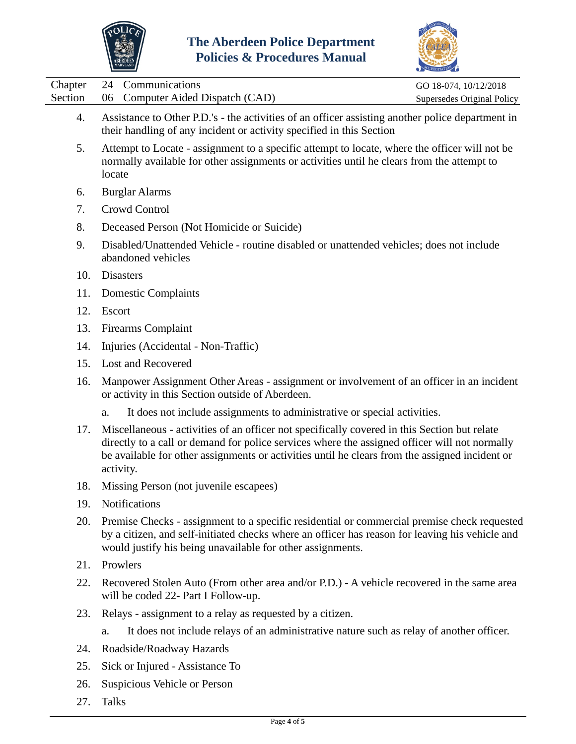



|                    |                                                                                                                                                                                                                                                                                                              | COREDITATION C                                      |  |
|--------------------|--------------------------------------------------------------------------------------------------------------------------------------------------------------------------------------------------------------------------------------------------------------------------------------------------------------|-----------------------------------------------------|--|
| Chapter<br>Section | Communications<br>24<br>06<br>Computer Aided Dispatch (CAD)                                                                                                                                                                                                                                                  | GO 18-074, 10/12/2018<br>Supersedes Original Policy |  |
| 4.                 | Assistance to Other P.D.'s - the activities of an officer assisting another police department in<br>their handling of any incident or activity specified in this Section                                                                                                                                     |                                                     |  |
| 5.                 | Attempt to Locate - assignment to a specific attempt to locate, where the officer will not be<br>normally available for other assignments or activities until he clears from the attempt to<br>locate                                                                                                        |                                                     |  |
| 6.                 | <b>Burglar Alarms</b>                                                                                                                                                                                                                                                                                        |                                                     |  |
| 7.                 | Crowd Control                                                                                                                                                                                                                                                                                                |                                                     |  |
| 8.                 | Deceased Person (Not Homicide or Suicide)                                                                                                                                                                                                                                                                    |                                                     |  |
| 9.                 | Disabled/Unattended Vehicle - routine disabled or unattended vehicles; does not include<br>abandoned vehicles                                                                                                                                                                                                |                                                     |  |
| 10.                | Disasters                                                                                                                                                                                                                                                                                                    |                                                     |  |
| 11.                | <b>Domestic Complaints</b>                                                                                                                                                                                                                                                                                   |                                                     |  |
| 12.                | Escort                                                                                                                                                                                                                                                                                                       |                                                     |  |
| 13.                | <b>Firearms Complaint</b>                                                                                                                                                                                                                                                                                    |                                                     |  |
| 14.                | Injuries (Accidental - Non-Traffic)                                                                                                                                                                                                                                                                          |                                                     |  |
| 15.                | <b>Lost and Recovered</b>                                                                                                                                                                                                                                                                                    |                                                     |  |
| 16.                | Manpower Assignment Other Areas - assignment or involvement of an officer in an incident<br>or activity in this Section outside of Aberdeen.                                                                                                                                                                 |                                                     |  |
|                    | It does not include assignments to administrative or special activities.<br>a.                                                                                                                                                                                                                               |                                                     |  |
| 17.                | Miscellaneous - activities of an officer not specifically covered in this Section but relate<br>directly to a call or demand for police services where the assigned officer will not normally<br>be available for other assignments or activities until he clears from the assigned incident or<br>activity. |                                                     |  |
| 18.                | Missing Person (not juvenile escapees)                                                                                                                                                                                                                                                                       |                                                     |  |
| 19.                | Notifications                                                                                                                                                                                                                                                                                                |                                                     |  |
| 20.                | Premise Checks - assignment to a specific residential or commercial premise check requested<br>by a citizen, and self-initiated checks where an officer has reason for leaving his vehicle and<br>would justify his being unavailable for other assignments.                                                 |                                                     |  |
| 21.                | Prowlers                                                                                                                                                                                                                                                                                                     |                                                     |  |
| 22.                | Recovered Stolen Auto (From other area and/or P.D.) - A vehicle recovered in the same area<br>will be coded 22- Part I Follow-up.                                                                                                                                                                            |                                                     |  |
| 23.                | Relays - assignment to a relay as requested by a citizen.                                                                                                                                                                                                                                                    |                                                     |  |
|                    | It does not include relays of an administrative nature such as relay of another officer.<br>a.                                                                                                                                                                                                               |                                                     |  |
| 24.                | Roadside/Roadway Hazards                                                                                                                                                                                                                                                                                     |                                                     |  |
| 25.                | Sick or Injured - Assistance To                                                                                                                                                                                                                                                                              |                                                     |  |

- 26. Suspicious Vehicle or Person
- 27. Talks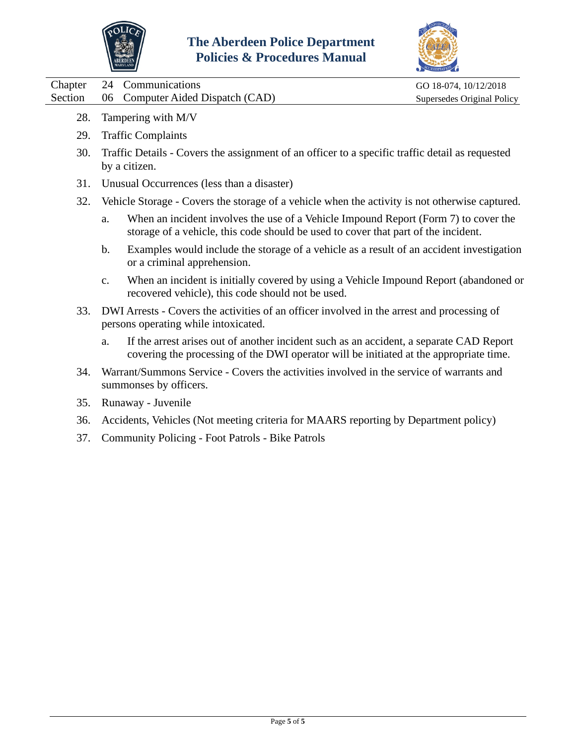



| Chapter | 24                                                                                                                                 | Communications                                                                                                                                                            | GO 18-074, 10/12/2018      |  |  |
|---------|------------------------------------------------------------------------------------------------------------------------------------|---------------------------------------------------------------------------------------------------------------------------------------------------------------------------|----------------------------|--|--|
| Section | 06                                                                                                                                 | Computer Aided Dispatch (CAD)                                                                                                                                             | Supersedes Original Policy |  |  |
| 28.     | Tampering with M/V                                                                                                                 |                                                                                                                                                                           |                            |  |  |
| 29.     | <b>Traffic Complaints</b>                                                                                                          |                                                                                                                                                                           |                            |  |  |
| 30.     | Traffic Details - Covers the assignment of an officer to a specific traffic detail as requested<br>by a citizen.                   |                                                                                                                                                                           |                            |  |  |
| 31.     | Unusual Occurrences (less than a disaster)                                                                                         |                                                                                                                                                                           |                            |  |  |
| 32.     | Vehicle Storage - Covers the storage of a vehicle when the activity is not otherwise captured.                                     |                                                                                                                                                                           |                            |  |  |
|         | a.                                                                                                                                 | When an incident involves the use of a Vehicle Impound Report (Form 7) to cover the<br>storage of a vehicle, this code should be used to cover that part of the incident. |                            |  |  |
|         | b.                                                                                                                                 | Examples would include the storage of a vehicle as a result of an accident investigation<br>or a criminal apprehension.                                                   |                            |  |  |
|         | $\mathbf{C}$ .                                                                                                                     | When an incident is initially covered by using a Vehicle Impound Report (abandoned or<br>recovered vehicle), this code should not be used.                                |                            |  |  |
| 33.     | DWI Arrests - Covers the activities of an officer involved in the arrest and processing of<br>persons operating while intoxicated. |                                                                                                                                                                           |                            |  |  |
|         |                                                                                                                                    |                                                                                                                                                                           |                            |  |  |

- a. If the arrest arises out of another incident such as an accident, a separate CAD Report covering the processing of the DWI operator will be initiated at the appropriate time.
- 34. Warrant/Summons Service Covers the activities involved in the service of warrants and summonses by officers.
- 35. Runaway Juvenile
- 36. Accidents, Vehicles (Not meeting criteria for MAARS reporting by Department policy)
- 37. Community Policing Foot Patrols Bike Patrols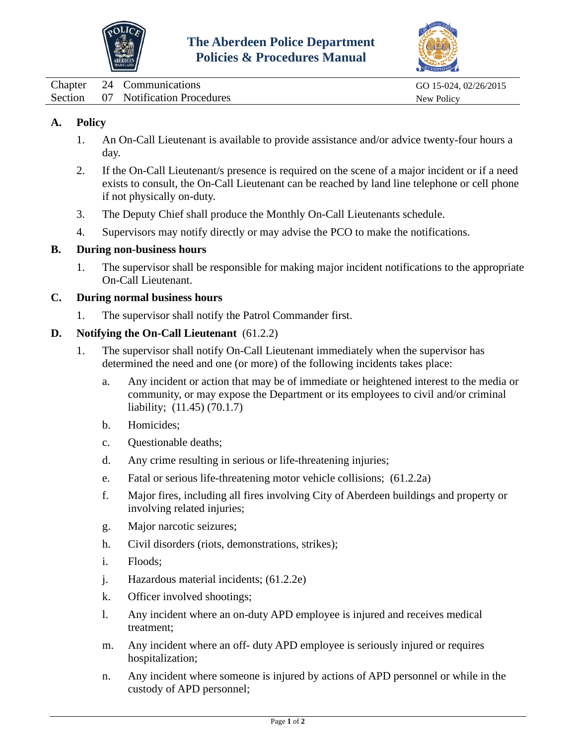



<span id="page-40-0"></span>

| Chapter | 24 Communications                  | GO 15-024, 02/26/2015 |
|---------|------------------------------------|-----------------------|
|         | Section 07 Notification Procedures | New Policy            |

## **A. Policy**

- 1. An On-Call Lieutenant is available to provide assistance and/or advice twenty-four hours a day.
- 2. If the On-Call Lieutenant/s presence is required on the scene of a major incident or if a need exists to consult, the On-Call Lieutenant can be reached by land line telephone or cell phone if not physically on-duty.
- 3. The Deputy Chief shall produce the Monthly On-Call Lieutenants schedule.
- 4. Supervisors may notify directly or may advise the PCO to make the notifications.

#### **B. During non-business hours**

1. The supervisor shall be responsible for making major incident notifications to the appropriate On-Call Lieutenant.

#### **C. During normal business hours**

1. The supervisor shall notify the Patrol Commander first.

#### **D. Notifying the On-Call Lieutenant** (61.2.2)

- 1. The supervisor shall notify On-Call Lieutenant immediately when the supervisor has determined the need and one (or more) of the following incidents takes place:
	- a. Any incident or action that may be of immediate or heightened interest to the media or community, or may expose the Department or its employees to civil and/or criminal liability; (11.45) (70.1.7)
	- b. Homicides;
	- c. Questionable deaths;
	- d. Any crime resulting in serious or life-threatening injuries;
	- e. Fatal or serious life-threatening motor vehicle collisions; (61.2.2a)
	- f. Major fires, including all fires involving City of Aberdeen buildings and property or involving related injuries;
	- g. Major narcotic seizures;
	- h. Civil disorders (riots, demonstrations, strikes);
	- i. Floods;
	- j. Hazardous material incidents; (61.2.2e)
	- k. Officer involved shootings;
	- l. Any incident where an on-duty APD employee is injured and receives medical treatment;
	- m. Any incident where an off- duty APD employee is seriously injured or requires hospitalization;
	- n. Any incident where someone is injured by actions of APD personnel or while in the custody of APD personnel;